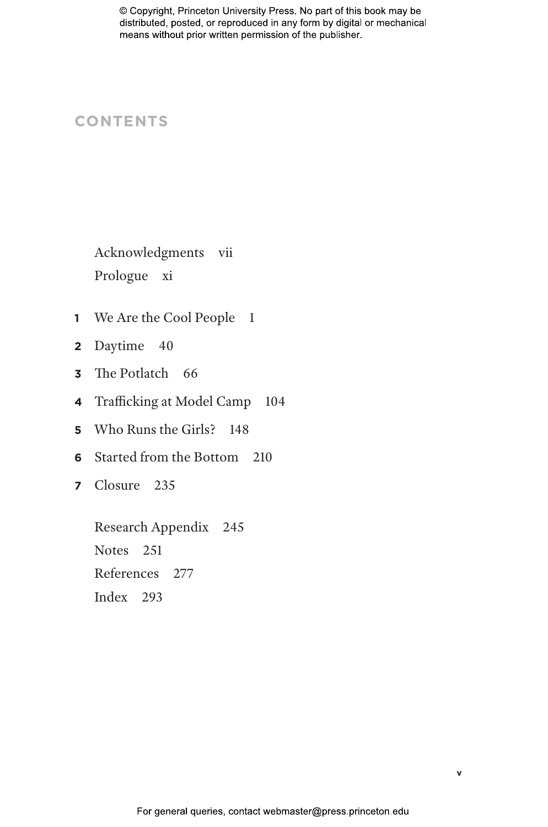# **CONTENTS**

Acknowledgments vii Prologue xi

- **1** We Are the Cool People 1
- **2** Daytime 40
- **3** The Potlatch 66
- **4** Trafficking at Model Camp 104
- **5** Who Runs the Girls? 148
- **6** Started from the Bottom 210
- **7** Closure 235

Research Appendix 245 Notes 251 References 277 Index 293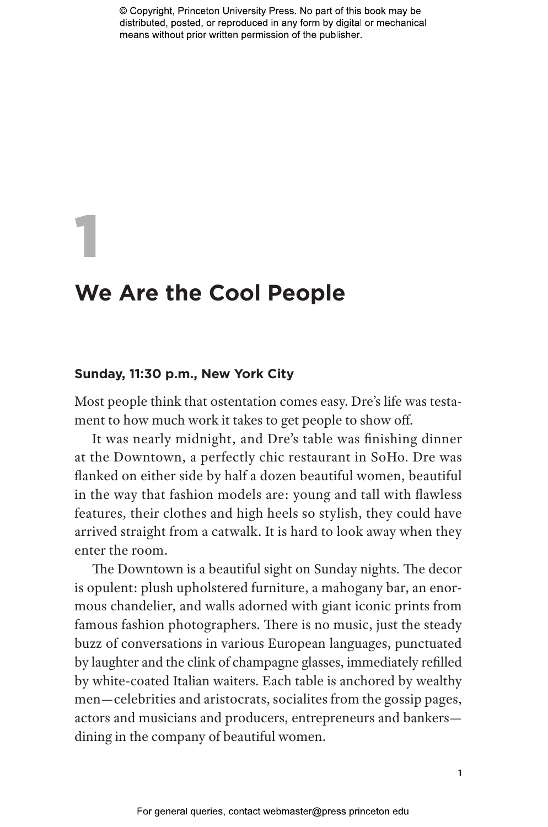# 1 **We Are the Cool People**

## **Sunday, 11:30 p.m., New York City**

Most people think that ostentation comes easy. Dre's life was testament to how much work it takes to get people to show off.

It was nearly midnight, and Dre's table was finishing dinner at the Downtown, a perfectly chic restaurant in SoHo. Dre was flanked on either side by half a dozen beautiful women, beautiful in the way that fashion models are: young and tall with flawless features, their clothes and high heels so stylish, they could have arrived straight from a catwalk. It is hard to look away when they enter the room.

The Downtown is a beautiful sight on Sunday nights. The decor is opulent: plush upholstered furniture, a mahogany bar, an enormous chandelier, and walls adorned with giant iconic prints from famous fashion photographers. There is no music, just the steady buzz of conversations in various European languages, punctuated by laughter and the clink of champagne glasses, immediately refilled by white-coated Italian waiters. Each table is anchored by wealthy men—celebrities and aristocrats, socialites from the gossip pages, actors and musicians and producers, entrepreneurs and bankers dining in the company of beautiful women.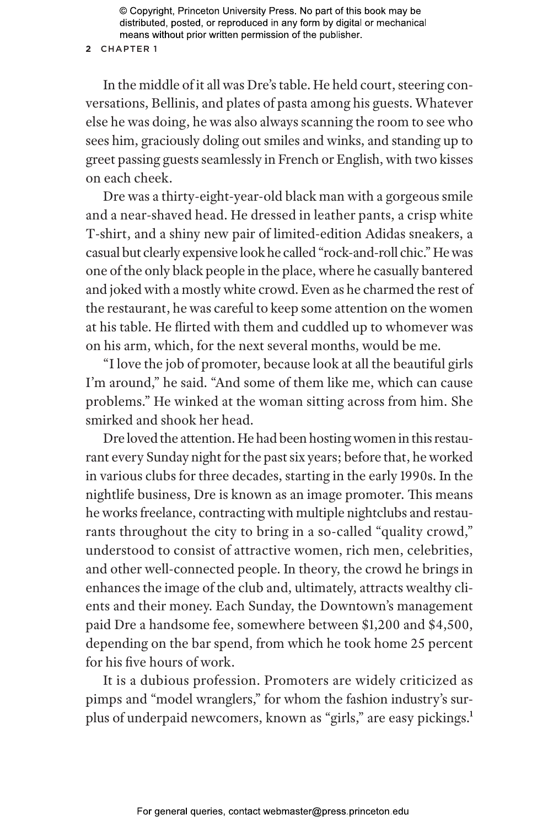#### **2** CHAPTER 1

In the middle of it all was Dre's table. He held court, steering conversations, Bellinis, and plates of pasta among his guests. Whatever else he was doing, he was also always scanning the room to see who sees him, graciously doling out smiles and winks, and standing up to greet passing guests seamlessly in French or English, with two kisses on each cheek.

Dre was a thirty-eight-year-old black man with a gorgeous smile and a near-shaved head. He dressed in leather pants, a crisp white T-shirt, and a shiny new pair of limited-edition Adidas sneakers, a casual but clearly expensive look he called "rock-and-roll chic." He was one of the only black people in the place, where he casually bantered and joked with a mostly white crowd. Even as he charmed the rest of the restaurant, he was careful to keep some attention on the women at his table. He flirted with them and cuddled up to whomever was on his arm, which, for the next several months, would be me.

"I love the job of promoter, because look at all the beautiful girls I'm around," he said. "And some of them like me, which can cause problems." He winked at the woman sitting across from him. She smirked and shook her head.

Dre loved the attention. He had been hosting women in this restaurant every Sunday night for the past six years; before that, he worked in various clubs for three decades, starting in the early 1990s. In the nightlife business, Dre is known as an image promoter. This means he works freelance, contracting with multiple nightclubs and restaurants throughout the city to bring in a so-called "quality crowd," understood to consist of attractive women, rich men, celebrities, and other well-connected people. In theory, the crowd he brings in enhances the image of the club and, ultimately, attracts wealthy clients and their money. Each Sunday, the Downtown's management paid Dre a handsome fee, somewhere between \$1,200 and \$4,500, depending on the bar spend, from which he took home 25 percent for his five hours of work.

It is a dubious profession. Promoters are widely criticized as pimps and "model wranglers," for whom the fashion industry's surplus of underpaid newcomers, known as "girls," are easy pickings.1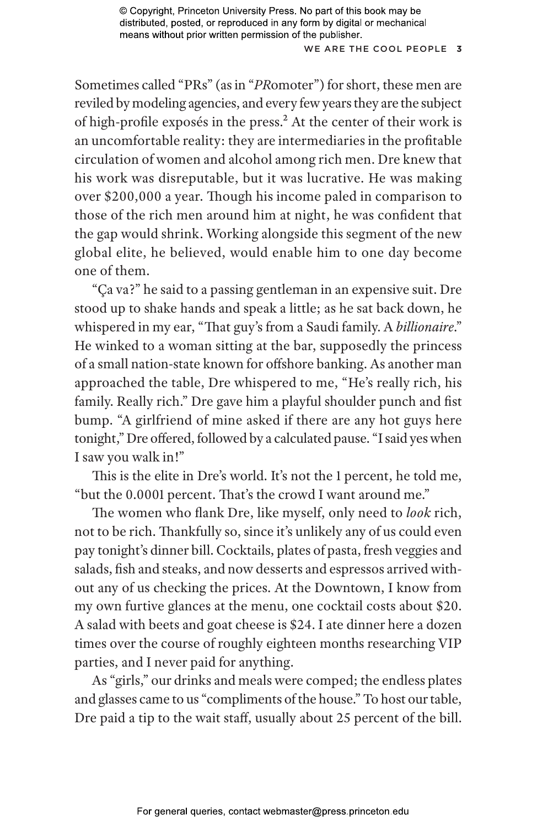We Are the Cool People **3**

Sometimes called "PRs" (as in "*PR*omoter") for short, these men are reviled by modeling agencies, and every few years they are the subject of high-profile exposés in the press.<sup>2</sup> At the center of their work is an uncomfortable reality: they are intermediaries in the profitable circulation of women and alcohol among rich men. Dre knew that his work was disreputable, but it was lucrative. He was making over \$200,000 a year. Though his income paled in comparison to those of the rich men around him at night, he was confident that the gap would shrink. Working alongside this segment of the new global elite, he believed, would enable him to one day become one of them.

"Ça va?" he said to a passing gentleman in an expensive suit. Dre stood up to shake hands and speak a little; as he sat back down, he whispered in my ear, "That guy's from a Saudi family. A *billionaire*." He winked to a woman sitting at the bar, supposedly the princess of a small nation-state known for offshore banking. As another man approached the table, Dre whispered to me, "He's really rich, his family. Really rich." Dre gave him a playful shoulder punch and fist bump. "A girlfriend of mine asked if there are any hot guys here tonight," Dre offered, followed by a calculated pause. "I said yes when I saw you walk in!"

This is the elite in Dre's world. It's not the 1 percent, he told me, "but the 0.0001 percent. That's the crowd I want around me."

The women who flank Dre, like myself, only need to *look* rich, not to be rich. Thankfully so, since it's unlikely any of us could even pay tonight's dinner bill. Cocktails, plates of pasta, fresh veggies and salads, fish and steaks, and now desserts and espressos arrived without any of us checking the prices. At the Downtown, I know from my own furtive glances at the menu, one cocktail costs about \$20. A salad with beets and goat cheese is \$24. I ate dinner here a dozen times over the course of roughly eighteen months researching VIP parties, and I never paid for anything.

As "girls," our drinks and meals were comped; the endless plates and glasses came to us "compliments of the house." To host our table, Dre paid a tip to the wait staff, usually about 25 percent of the bill.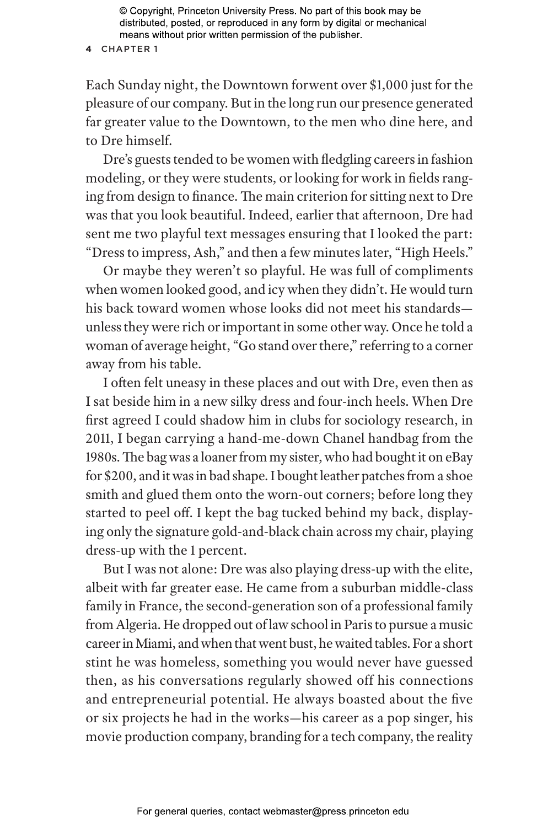#### **4** CHAPTER 1

Each Sunday night, the Downtown forwent over \$1,000 just for the pleasure of our company. But in the long run our presence generated far greater value to the Downtown, to the men who dine here, and to Dre himself.

Dre's guests tended to be women with fledgling careers in fashion modeling, or they were students, or looking for work in fields ranging from design to finance. The main criterion for sitting next to Dre was that you look beautiful. Indeed, earlier that afternoon, Dre had sent me two playful text messages ensuring that I looked the part: "Dress to impress, Ash," and then a few minutes later, "High Heels."

Or maybe they weren't so playful. He was full of compliments when women looked good, and icy when they didn't. He would turn his back toward women whose looks did not meet his standards unless they were rich or important in some other way. Once he told a woman of average height, "Go stand over there," referring to a corner away from his table.

I often felt uneasy in these places and out with Dre, even then as I sat beside him in a new silky dress and four-inch heels. When Dre first agreed I could shadow him in clubs for sociology research, in 2011, I began carrying a hand-me-down Chanel handbag from the 1980s. The bag was a loaner from my sister, who had bought it on eBay for \$200, and it was in bad shape. I bought leather patches from a shoe smith and glued them onto the worn-out corners; before long they started to peel off. I kept the bag tucked behind my back, displaying only the signature gold-and-black chain across my chair, playing dress-up with the 1 percent.

But I was not alone: Dre was also playing dress-up with the elite, albeit with far greater ease. He came from a suburban middle-class family in France, the second-generation son of a professional family from Algeria. He dropped out of law school in Paris to pursue a music career in Miami, and when that went bust, he waited tables. For a short stint he was homeless, something you would never have guessed then, as his conversations regularly showed off his connections and entrepreneurial potential. He always boasted about the five or six projects he had in the works—his career as a pop singer, his movie production company, branding for a tech company, the reality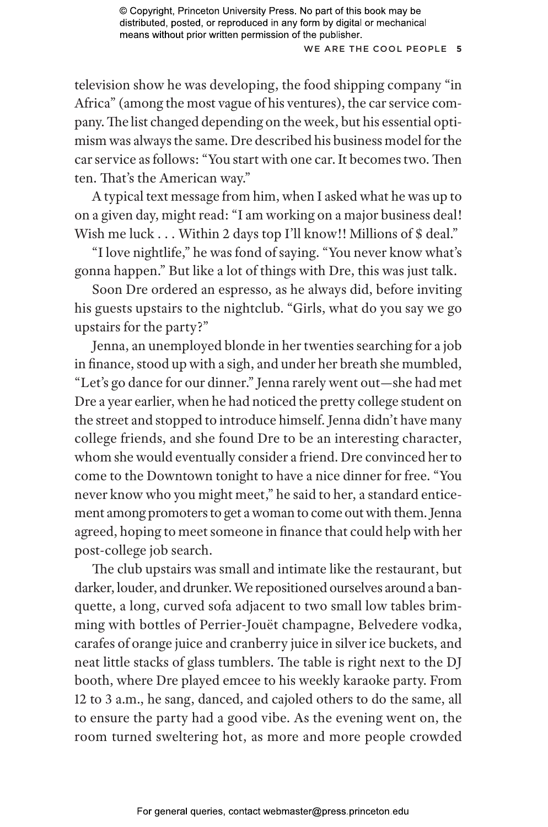We Are the Cool People **5**

television show he was developing, the food shipping company "in Africa" (among the most vague of his ventures), the car service company. The list changed depending on the week, but his essential optimism was always the same. Dre described his business model for the car service as follows: "You start with one car. It becomes two. Then ten. That's the American way."

A typical text message from him, when I asked what he was up to on a given day, might read: "I am working on a major business deal! Wish me luck . . . Within 2 days top I'll know!! Millions of \$ deal."

"I love nightlife," he was fond of saying. "You never know what's gonna happen." But like a lot of things with Dre, this was just talk.

Soon Dre ordered an espresso, as he always did, before inviting his guests upstairs to the nightclub. "Girls, what do you say we go upstairs for the party?"

Jenna, an unemployed blonde in her twenties searching for a job in finance, stood up with a sigh, and under her breath she mumbled, "Let's go dance for our dinner." Jenna rarely went out—she had met Dre a year earlier, when he had noticed the pretty college student on the street and stopped to introduce himself. Jenna didn't have many college friends, and she found Dre to be an interesting character, whom she would eventually consider a friend. Dre convinced her to come to the Downtown tonight to have a nice dinner for free. "You never know who you might meet," he said to her, a standard enticement among promoters to get a woman to come out with them. Jenna agreed, hoping to meet someone in finance that could help with her post-college job search.

The club upstairs was small and intimate like the restaurant, but darker, louder, and drunker. We repositioned ourselves around a banquette, a long, curved sofa adjacent to two small low tables brimming with bottles of Perrier-Jouët champagne, Belvedere vodka, carafes of orange juice and cranberry juice in silver ice buckets, and neat little stacks of glass tumblers. The table is right next to the DJ booth, where Dre played emcee to his weekly karaoke party. From 12 to 3 a.m., he sang, danced, and cajoled others to do the same, all to ensure the party had a good vibe. As the evening went on, the room turned sweltering hot, as more and more people crowded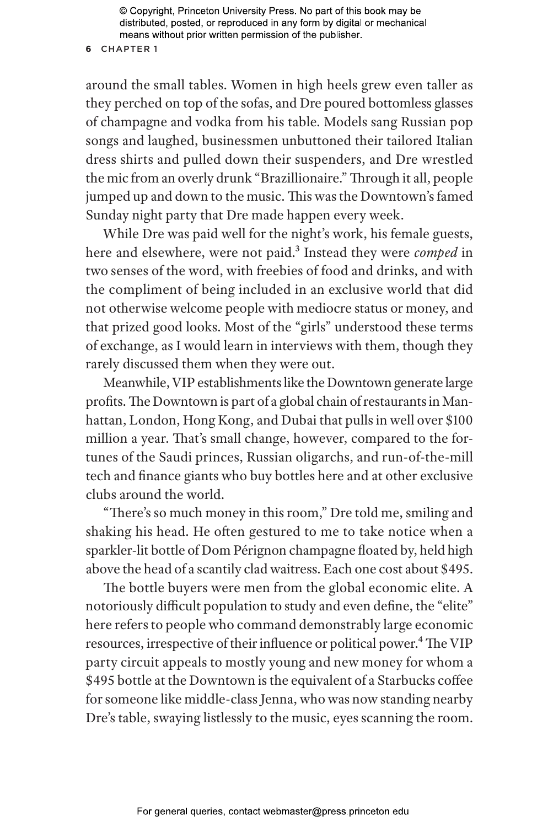#### **6** CHAPTER 1

around the small tables. Women in high heels grew even taller as they perched on top of the sofas, and Dre poured bottomless glasses of champagne and vodka from his table. Models sang Russian pop songs and laughed, businessmen unbuttoned their tailored Italian dress shirts and pulled down their suspenders, and Dre wrestled the mic from an overly drunk "Brazillionaire." Through it all, people jumped up and down to the music. This was the Downtown's famed Sunday night party that Dre made happen every week.

While Dre was paid well for the night's work, his female guests, here and elsewhere, were not paid.3 Instead they were *comped* in two senses of the word, with freebies of food and drinks, and with the compliment of being included in an exclusive world that did not otherwise welcome people with mediocre status or money, and that prized good looks. Most of the "girls" understood these terms of exchange, as I would learn in interviews with them, though they rarely discussed them when they were out.

Meanwhile, VIP establishments like the Downtown generate large profits. The Downtown is part of a global chain of restaurants in Manhattan, London, Hong Kong, and Dubai that pulls in well over \$100 million a year. That's small change, however, compared to the fortunes of the Saudi princes, Russian oligarchs, and run-of-the-mill tech and finance giants who buy bottles here and at other exclusive clubs around the world.

"There's so much money in this room," Dre told me, smiling and shaking his head. He often gestured to me to take notice when a sparkler-lit bottle of Dom Pérignon champagne floated by, held high above the head of a scantily clad waitress. Each one cost about \$495.

The bottle buyers were men from the global economic elite. A notoriously difficult population to study and even define, the "elite" here refers to people who command demonstrably large economic resources, irrespective of their influence or political power.<sup>4</sup> The VIP party circuit appeals to mostly young and new money for whom a \$495 bottle at the Downtown is the equivalent of a Starbucks coffee for someone like middle-class Jenna, who was now standing nearby Dre's table, swaying listlessly to the music, eyes scanning the room.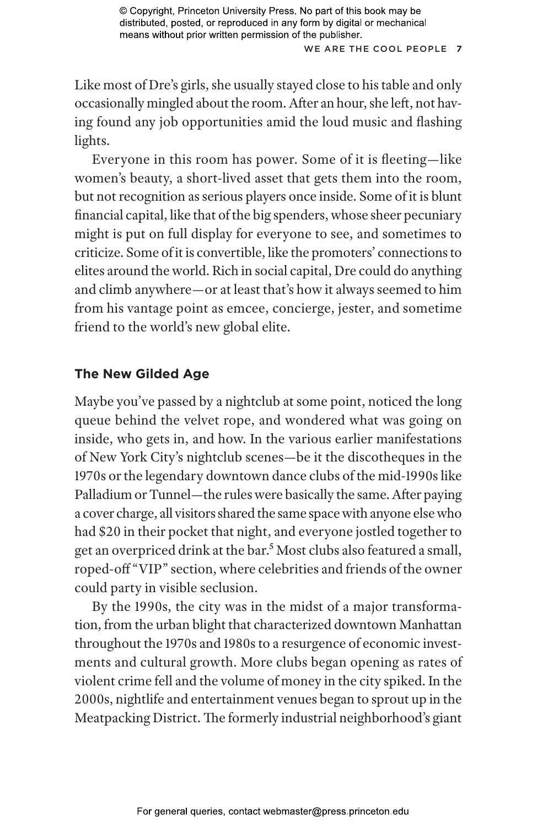We Are the Cool People **7**

Like most of Dre's girls, she usually stayed close to his table and only occasionally mingled about the room. After an hour, she left, not having found any job opportunities amid the loud music and flashing lights.

Everyone in this room has power. Some of it is fleeting—like women's beauty, a short-lived asset that gets them into the room, but not recognition as serious players once inside. Some of it is blunt financial capital, like that of the big spenders, whose sheer pecuniary might is put on full display for everyone to see, and sometimes to criticize. Some of it is convertible, like the promoters' connections to elites around the world. Rich in social capital, Dre could do anything and climb anywhere—or at least that's how it always seemed to him from his vantage point as emcee, concierge, jester, and sometime friend to the world's new global elite.

## **The New Gilded Age**

Maybe you've passed by a nightclub at some point, noticed the long queue behind the velvet rope, and wondered what was going on inside, who gets in, and how. In the various earlier manifestations of New York City's nightclub scenes—be it the discotheques in the 1970s or the legendary downtown dance clubs of the mid-1990s like Palladium or Tunnel—the rules were basically the same. After paying a cover charge, all visitors shared the same space with anyone else who had \$20 in their pocket that night, and everyone jostled together to get an overpriced drink at the bar.<sup>5</sup> Most clubs also featured a small, roped-off "VIP" section, where celebrities and friends of the owner could party in visible seclusion.

By the 1990s, the city was in the midst of a major transformation, from the urban blight that characterized downtown Manhattan throughout the 1970s and 1980s to a resurgence of economic investments and cultural growth. More clubs began opening as rates of violent crime fell and the volume of money in the city spiked. In the 2000s, nightlife and entertainment venues began to sprout up in the Meatpacking District. The formerly industrial neighborhood's giant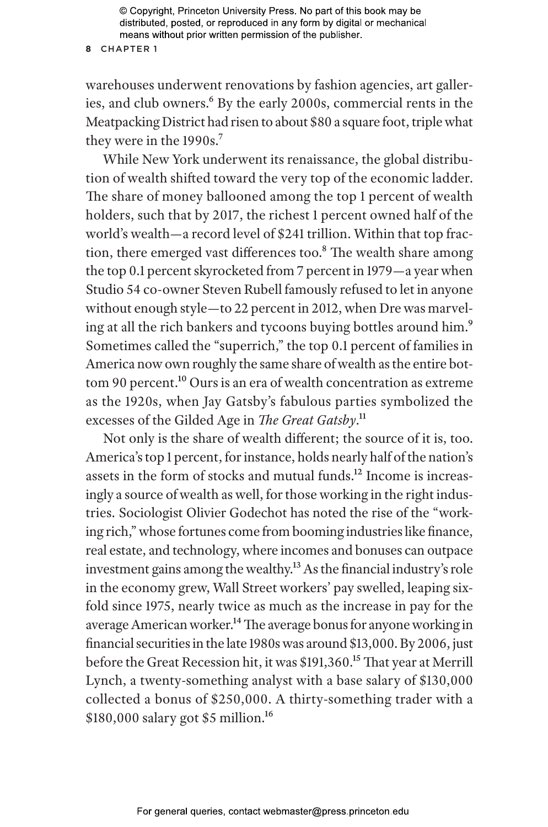#### **8** CHAPTER 1

warehouses underwent renovations by fashion agencies, art galleries, and club owners.<sup>6</sup> By the early 2000s, commercial rents in the Meatpacking District had risen to about \$80 a square foot, triple what they were in the 1990s.<sup>7</sup>

While New York underwent its renaissance, the global distribution of wealth shifted toward the very top of the economic ladder. The share of money ballooned among the top 1 percent of wealth holders, such that by 2017, the richest 1 percent owned half of the world's wealth—a record level of \$241 trillion. Within that top fraction, there emerged vast differences too.<sup>8</sup> The wealth share among the top 0.1 percent skyrocketed from 7 percent in 1979—a year when Studio 54 co-owner Steven Rubell famously refused to let in anyone without enough style—to 22 percent in 2012, when Dre was marveling at all the rich bankers and tycoons buying bottles around him.<sup>9</sup> Sometimes called the "superrich," the top 0.1 percent of families in America now own roughly the same share of wealth as the entire bottom 90 percent.<sup>10</sup> Ours is an era of wealth concentration as extreme as the 1920s, when Jay Gatsby's fabulous parties symbolized the excesses of the Gilded Age in *The Great Gatsby*.11

Not only is the share of wealth different; the source of it is, too. America's top 1 percent, for instance, holds nearly half of the nation's assets in the form of stocks and mutual funds.<sup>12</sup> Income is increasingly a source of wealth as well, for those working in the right industries. Sociologist Olivier Godechot has noted the rise of the "working rich," whose fortunes come from booming industries like finance, real estate, and technology, where incomes and bonuses can outpace investment gains among the wealthy.13 As the financial industry's role in the economy grew, Wall Street workers' pay swelled, leaping sixfold since 1975, nearly twice as much as the increase in pay for the average American worker.<sup>14</sup> The average bonus for anyone working in financial securities in the late 1980s was around \$13,000. By 2006, just before the Great Recession hit, it was \$191,360.<sup>15</sup> That year at Merrill Lynch, a twenty-something analyst with a base salary of \$130,000 collected a bonus of \$250,000. A thirty-something trader with a \$180,000 salary got \$5 million.16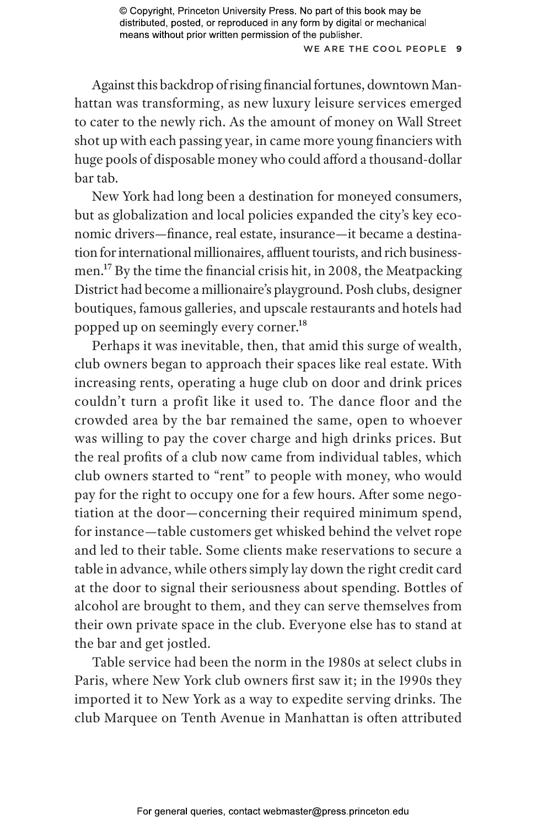We Are the Cool People **9**

Against this backdrop of rising financial fortunes, downtown Manhattan was transforming, as new luxury leisure services emerged to cater to the newly rich. As the amount of money on Wall Street shot up with each passing year, in came more young financiers with huge pools of disposable money who could afford a thousand-dollar bar tab.

New York had long been a destination for moneyed consumers, but as globalization and local policies expanded the city's key economic drivers—finance, real estate, insurance—it became a destination for international millionaires, affluent tourists, and rich businessmen.17 By the time the financial crisis hit, in 2008, the Meatpacking District had become a millionaire's playground. Posh clubs, designer boutiques, famous galleries, and upscale restaurants and hotels had popped up on seemingly every corner.18

Perhaps it was inevitable, then, that amid this surge of wealth, club owners began to approach their spaces like real estate. With increasing rents, operating a huge club on door and drink prices couldn't turn a profit like it used to. The dance floor and the crowded area by the bar remained the same, open to whoever was willing to pay the cover charge and high drinks prices. But the real profits of a club now came from individual tables, which club owners started to "rent" to people with money, who would pay for the right to occupy one for a few hours. After some negotiation at the door—concerning their required minimum spend, for instance—table customers get whisked behind the velvet rope and led to their table. Some clients make reservations to secure a table in advance, while others simply lay down the right credit card at the door to signal their seriousness about spending. Bottles of alcohol are brought to them, and they can serve themselves from their own private space in the club. Everyone else has to stand at the bar and get jostled.

Table service had been the norm in the 1980s at select clubs in Paris, where New York club owners first saw it; in the 1990s they imported it to New York as a way to expedite serving drinks. The club Marquee on Tenth Avenue in Manhattan is often attributed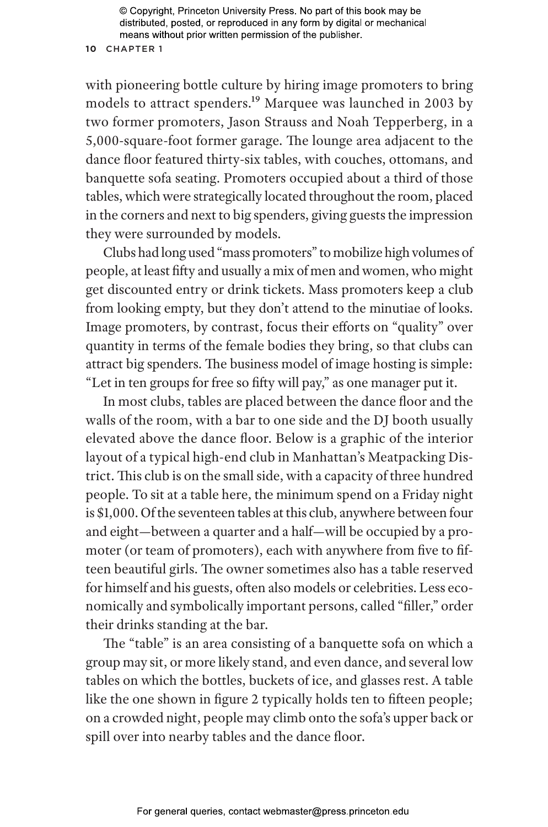#### **10** CHAPTER 1

with pioneering bottle culture by hiring image promoters to bring models to attract spenders.<sup>19</sup> Marquee was launched in 2003 by two former promoters, Jason Strauss and Noah Tepperberg, in a 5,000-square-foot former garage. The lounge area adjacent to the dance floor featured thirty-six tables, with couches, ottomans, and banquette sofa seating. Promoters occupied about a third of those tables, which were strategically located throughout the room, placed in the corners and next to big spenders, giving guests the impression they were surrounded by models.

Clubs had long used "mass promoters" to mobilize high volumes of people, at least fifty and usually a mix of men and women, who might get discounted entry or drink tickets. Mass promoters keep a club from looking empty, but they don't attend to the minutiae of looks. Image promoters, by contrast, focus their efforts on "quality" over quantity in terms of the female bodies they bring, so that clubs can attract big spenders. The business model of image hosting is simple: "Let in ten groups for free so fifty will pay," as one manager put it.

In most clubs, tables are placed between the dance floor and the walls of the room, with a bar to one side and the DJ booth usually elevated above the dance floor. Below is a graphic of the interior layout of a typical high-end club in Manhattan's Meatpacking District. This club is on the small side, with a capacity of three hundred people. To sit at a table here, the minimum spend on a Friday night is \$1,000. Of the seventeen tables at this club, anywhere between four and eight—between a quarter and a half—will be occupied by a promoter (or team of promoters), each with anywhere from five to fifteen beautiful girls. The owner sometimes also has a table reserved for himself and his guests, often also models or celebrities. Less economically and symbolically important persons, called "filler," order their drinks standing at the bar.

The "table" is an area consisting of a banquette sofa on which a group may sit, or more likely stand, and even dance, and several low tables on which the bottles, buckets of ice, and glasses rest. A table like the one shown in figure 2 typically holds ten to fifteen people; on a crowded night, people may climb onto the sofa's upper back or spill over into nearby tables and the dance floor.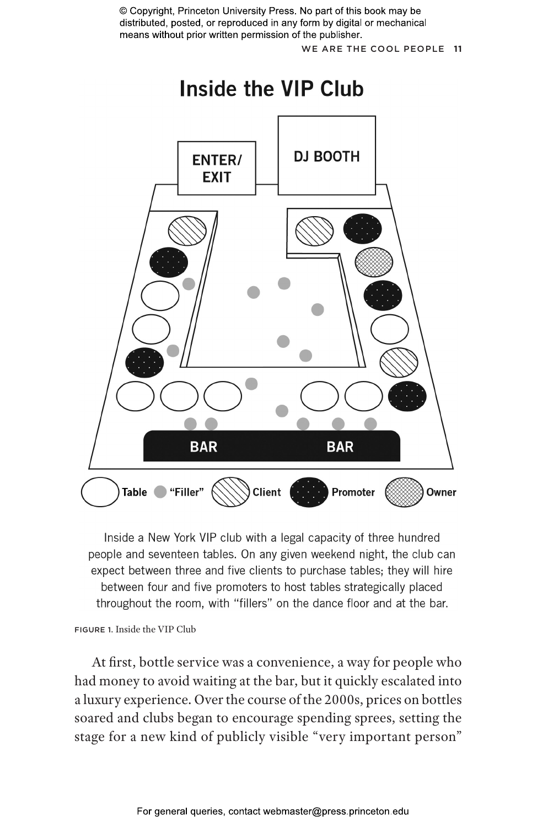We Are the Cool People **11**



Inside a New York VIP club with a legal capacity of three hundred people and seventeen tables. On any given weekend night, the club can expect between three and five clients to purchase tables; they will hire between four and five promoters to host tables strategically placed throughout the room, with "fillers" on the dance floor and at the bar.

FIGURE 1. Inside the VIP Club

At first, bottle service was a convenience, a way for people who had money to avoid waiting at the bar, but it quickly escalated into a luxury experience. Over the course of the 2000s, prices on bottles soared and clubs began to encourage spending sprees, setting the stage for a new kind of publicly visible "very important person"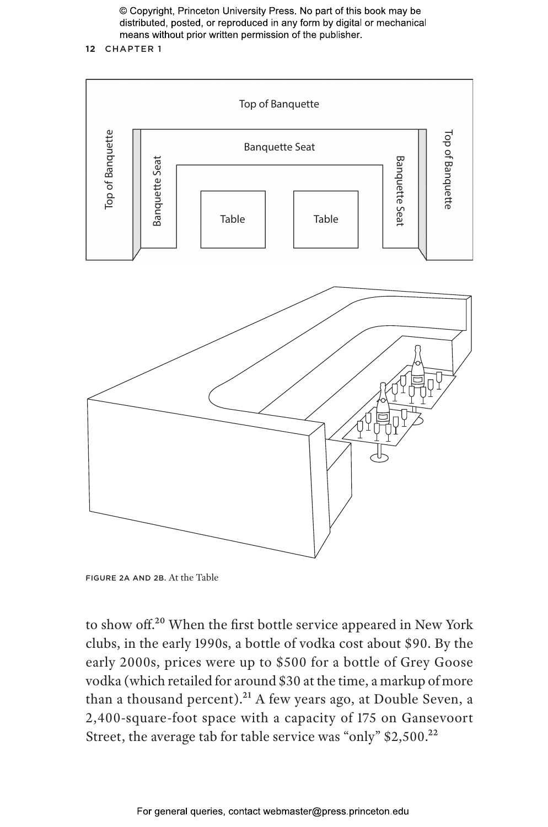**12** CHAPTER 1



FIGURE 2A AND 2B. At the Table

to show off.20 When the first bottle service appeared in New York clubs, in the early 1990s, a bottle of vodka cost about \$90. By the early 2000s, prices were up to \$500 for a bottle of Grey Goose vodka (which retailed for around \$30 at the time, a markup of more than a thousand percent).<sup>21</sup> A few years ago, at Double Seven, a 2,400-square-foot space with a capacity of 175 on Gansevoort Street, the average tab for table service was "only" \$2,500.<sup>22</sup>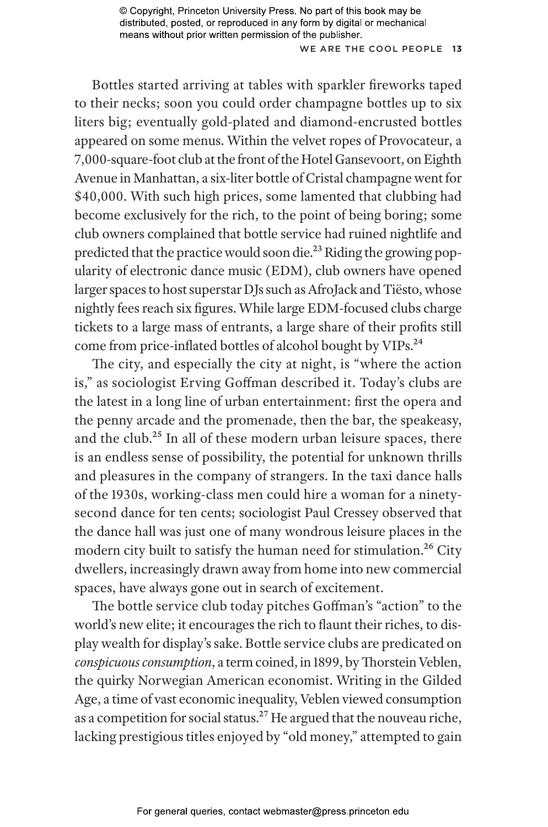We Are the Cool People **13**

Bottles started arriving at tables with sparkler fireworks taped to their necks; soon you could order champagne bottles up to six liters big; eventually gold-plated and diamond-encrusted bottles appeared on some menus. Within the velvet ropes of Provocateur, a 7,000-square-foot club at the front of the Hotel Gansevoort, on Eighth Avenue in Manhattan, a six-liter bottle of Cristal champagne went for \$40,000. With such high prices, some lamented that clubbing had become exclusively for the rich, to the point of being boring; some club owners complained that bottle service had ruined nightlife and predicted that the practice would soon die.23 Riding the growing popularity of electronic dance music (EDM), club owners have opened larger spaces to host superstar DJs such as AfroJack and Tiësto, whose nightly fees reach six figures. While large EDM-focused clubs charge tickets to a large mass of entrants, a large share of their profits still come from price-inflated bottles of alcohol bought by VIPs.<sup>24</sup>

The city, and especially the city at night, is "where the action is," as sociologist Erving Goffman described it. Today's clubs are the latest in a long line of urban entertainment: first the opera and the penny arcade and the promenade, then the bar, the speakeasy, and the club.<sup>25</sup> In all of these modern urban leisure spaces, there is an endless sense of possibility, the potential for unknown thrills and pleasures in the company of strangers. In the taxi dance halls of the 1930s, working-class men could hire a woman for a ninetysecond dance for ten cents; sociologist Paul Cressey observed that the dance hall was just one of many wondrous leisure places in the modern city built to satisfy the human need for stimulation.<sup>26</sup> City dwellers, increasingly drawn away from home into new commercial spaces, have always gone out in search of excitement.

The bottle service club today pitches Goffman's "action" to the world's new elite; it encourages the rich to flaunt their riches, to display wealth for display's sake. Bottle service clubs are predicated on *conspicuous consumption*, a term coined, in 1899, by Thorstein Veblen, the quirky Norwegian American economist. Writing in the Gilded Age, a time of vast economic inequality, Veblen viewed consumption as a competition for social status.<sup>27</sup> He argued that the nouveau riche, lacking prestigious titles enjoyed by "old money," attempted to gain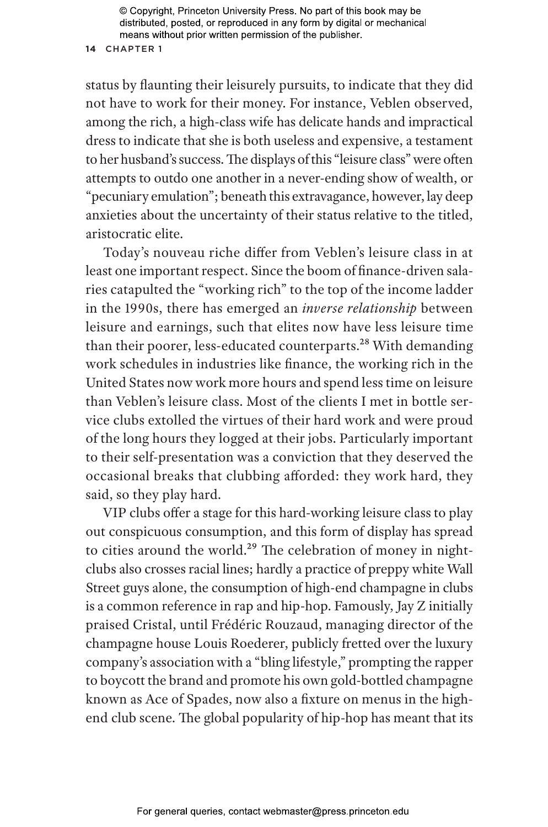#### **14** CHAPTER 1

status by flaunting their leisurely pursuits, to indicate that they did not have to work for their money. For instance, Veblen observed, among the rich, a high-class wife has delicate hands and impractical dress to indicate that she is both useless and expensive, a testament to her husband's success. The displays of this "leisure class" were often attempts to outdo one another in a never-ending show of wealth, or "pecuniary emulation"; beneath this extravagance, however, lay deep anxieties about the uncertainty of their status relative to the titled, aristocratic elite.

Today's nouveau riche differ from Veblen's leisure class in at least one important respect. Since the boom of finance-driven salaries catapulted the "working rich" to the top of the income ladder in the 1990s, there has emerged an *inverse relationship* between leisure and earnings, such that elites now have less leisure time than their poorer, less-educated counterparts.<sup>28</sup> With demanding work schedules in industries like finance, the working rich in the United States now work more hours and spend less time on leisure than Veblen's leisure class. Most of the clients I met in bottle service clubs extolled the virtues of their hard work and were proud of the long hours they logged at their jobs. Particularly important to their self-presentation was a conviction that they deserved the occasional breaks that clubbing afforded: they work hard, they said, so they play hard.

VIP clubs offer a stage for this hard-working leisure class to play out conspicuous consumption, and this form of display has spread to cities around the world.<sup>29</sup> The celebration of money in nightclubs also crosses racial lines; hardly a practice of preppy white Wall Street guys alone, the consumption of high-end champagne in clubs is a common reference in rap and hip-hop. Famously, Jay Z initially praised Cristal, until Frédéric Rouzaud, managing director of the champagne house Louis Roederer, publicly fretted over the luxury company's association with a "bling lifestyle," prompting the rapper to boycott the brand and promote his own gold-bottled champagne known as Ace of Spades, now also a fixture on menus in the highend club scene. The global popularity of hip-hop has meant that its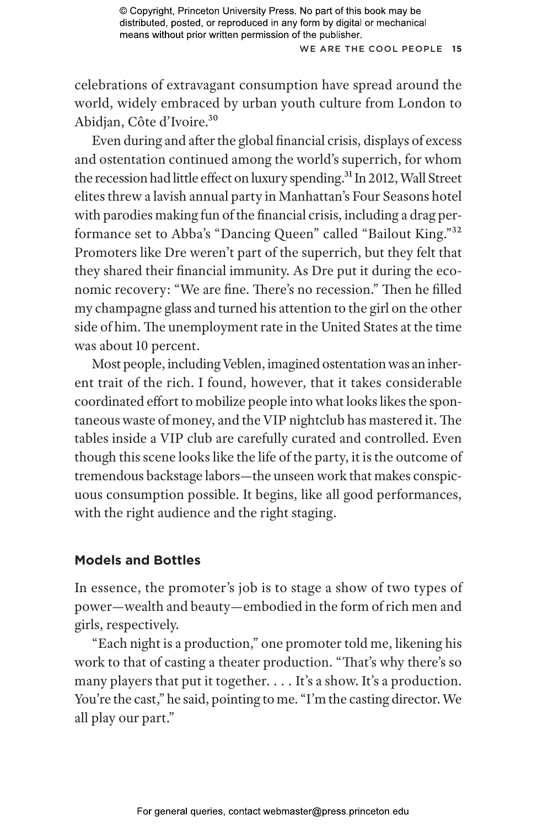We Are the Cool People **15**

celebrations of extravagant consumption have spread around the world, widely embraced by urban youth culture from London to Abidjan, Côte d'Ivoire.30

Even during and after the global financial crisis, displays of excess and ostentation continued among the world's superrich, for whom the recession had little effect on luxury spending.<sup>31</sup> In 2012, Wall Street elites threw a lavish annual party in Manhattan's Four Seasons hotel with parodies making fun of the financial crisis, including a drag performance set to Abba's "Dancing Queen" called "Bailout King."32 Promoters like Dre weren't part of the superrich, but they felt that they shared their financial immunity. As Dre put it during the economic recovery: "We are fine. There's no recession." Then he filled my champagne glass and turned his attention to the girl on the other side of him. The unemployment rate in the United States at the time was about 10 percent.

Most people, including Veblen, imagined ostentation was an inherent trait of the rich. I found, however, that it takes considerable coordinated effort to mobilize people into what looks likes the spontaneous waste of money, and the VIP nightclub has mastered it. The tables inside a VIP club are carefully curated and controlled. Even though this scene looks like the life of the party, it is the outcome of tremendous backstage labors—the unseen work that makes conspicuous consumption possible. It begins, like all good performances, with the right audience and the right staging.

## **Models and Bottles**

In essence, the promoter's job is to stage a show of two types of power—wealth and beauty—embodied in the form of rich men and girls, respectively.

"Each night is a production," one promoter told me, likening his work to that of casting a theater production. "That's why there's so many players that put it together. . . . It's a show. It's a production. You're the cast," he said, pointing to me. "I'm the casting director. We all play our part."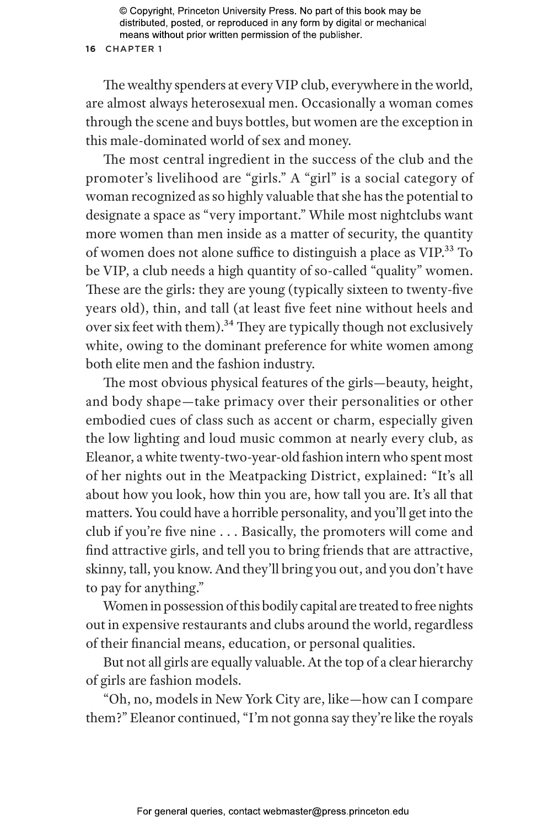#### **16** CHAPTER 1

The wealthy spenders at every VIP club, everywhere in the world, are almost always heterosexual men. Occasionally a woman comes through the scene and buys bottles, but women are the exception in this male-dominated world of sex and money.

The most central ingredient in the success of the club and the promoter's livelihood are "girls." A "girl" is a social category of woman recognized as so highly valuable that she has the potential to designate a space as "very important." While most nightclubs want more women than men inside as a matter of security, the quantity of women does not alone suffice to distinguish a place as VIP.<sup>33</sup> To be VIP, a club needs a high quantity of so-called "quality" women. These are the girls: they are young (typically sixteen to twenty-five years old), thin, and tall (at least five feet nine without heels and over six feet with them).<sup>34</sup> They are typically though not exclusively white, owing to the dominant preference for white women among both elite men and the fashion industry.

The most obvious physical features of the girls—beauty, height, and body shape—take primacy over their personalities or other embodied cues of class such as accent or charm, especially given the low lighting and loud music common at nearly every club, as Eleanor, a white twenty-two-year-old fashion intern who spent most of her nights out in the Meatpacking District, explained: "It's all about how you look, how thin you are, how tall you are. It's all that matters. You could have a horrible personality, and you'll get into the club if you're five nine . . . Basically, the promoters will come and find attractive girls, and tell you to bring friends that are attractive, skinny, tall, you know. And they'll bring you out, and you don't have to pay for anything."

Women in possession of this bodily capital are treated to free nights out in expensive restaurants and clubs around the world, regardless of their financial means, education, or personal qualities.

But not all girls are equally valuable. At the top of a clear hierarchy of girls are fashion models.

"Oh, no, models in New York City are, like—how can I compare them?" Eleanor continued, "I'm not gonna say they're like the royals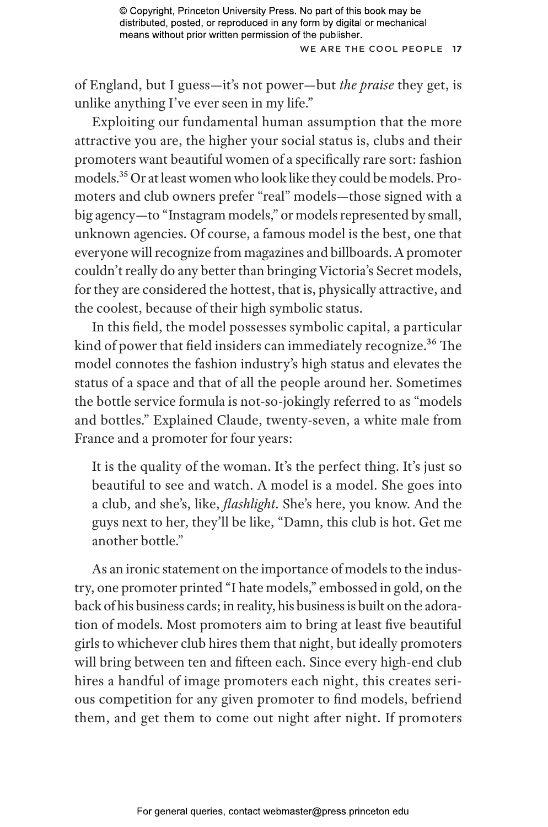We Are the Cool People **17**

of England, but I guess—it's not power—but *the praise* they get, is unlike anything I've ever seen in my life."

Exploiting our fundamental human assumption that the more attractive you are, the higher your social status is, clubs and their promoters want beautiful women of a specifically rare sort: fashion models.35 Or at least women who look like they could be models. Promoters and club owners prefer "real" models—those signed with a big agency—to "Instagram models," or models represented by small, unknown agencies. Of course, a famous model is the best, one that everyone will recognize from magazines and billboards. A promoter couldn't really do any better than bringing Victoria's Secret models, for they are considered the hottest, that is, physically attractive, and the coolest, because of their high symbolic status.

In this field, the model possesses symbolic capital, a particular kind of power that field insiders can immediately recognize.<sup>36</sup> The model connotes the fashion industry's high status and elevates the status of a space and that of all the people around her. Sometimes the bottle service formula is not-so-jokingly referred to as "models and bottles." Explained Claude, twenty-seven, a white male from France and a promoter for four years:

It is the quality of the woman. It's the perfect thing. It's just so beautiful to see and watch. A model is a model. She goes into a club, and she's, like, *flashlight*. She's here, you know. And the guys next to her, they'll be like, "Damn, this club is hot. Get me another bottle."

As an ironic statement on the importance of models to the industry, one promoter printed "I hate models," embossed in gold, on the back of his business cards; in reality, his business is built on the adoration of models. Most promoters aim to bring at least five beautiful girls to whichever club hires them that night, but ideally promoters will bring between ten and fifteen each. Since every high-end club hires a handful of image promoters each night, this creates serious competition for any given promoter to find models, befriend them, and get them to come out night after night. If promoters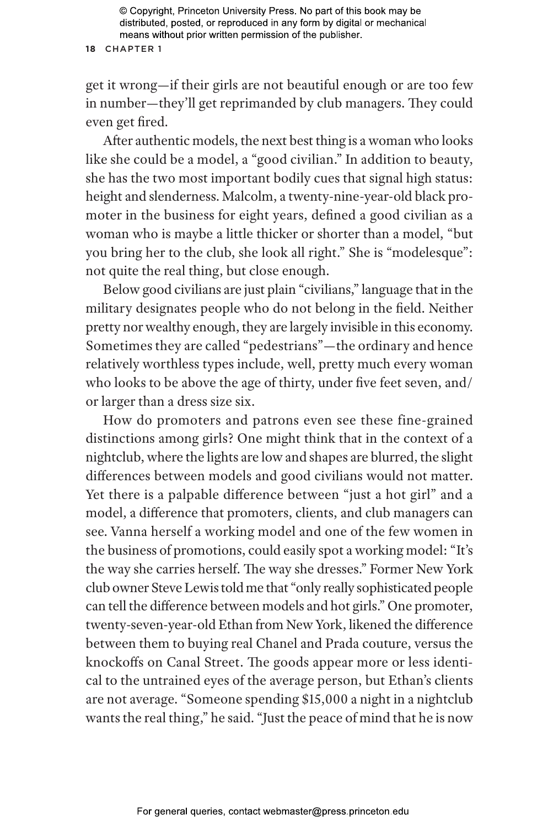#### **18** CHAPTER 1

get it wrong—if their girls are not beautiful enough or are too few in number—they'll get reprimanded by club managers. They could even get fired.

After authentic models, the next best thing is a woman who looks like she could be a model, a "good civilian." In addition to beauty, she has the two most important bodily cues that signal high status: height and slenderness. Malcolm, a twenty-nine-year-old black promoter in the business for eight years, defined a good civilian as a woman who is maybe a little thicker or shorter than a model, "but you bring her to the club, she look all right." She is "modelesque": not quite the real thing, but close enough.

Below good civilians are just plain "civilians," language that in the military designates people who do not belong in the field. Neither pretty nor wealthy enough, they are largely invisible in this economy. Sometimes they are called "pedestrians"—the ordinary and hence relatively worthless types include, well, pretty much every woman who looks to be above the age of thirty, under five feet seven, and/ or larger than a dress size six.

How do promoters and patrons even see these fine-grained distinctions among girls? One might think that in the context of a nightclub, where the lights are low and shapes are blurred, the slight differences between models and good civilians would not matter. Yet there is a palpable difference between "just a hot girl" and a model, a difference that promoters, clients, and club managers can see. Vanna herself a working model and one of the few women in the business of promotions, could easily spot a working model: "It's the way she carries herself. The way she dresses." Former New York club owner Steve Lewis told me that "only really sophisticated people can tell the difference between models and hot girls." One promoter, twenty-seven-year-old Ethan from New York, likened the difference between them to buying real Chanel and Prada couture, versus the knockoffs on Canal Street. The goods appear more or less identical to the untrained eyes of the average person, but Ethan's clients are not average. "Someone spending \$15,000 a night in a nightclub wants the real thing," he said. "Just the peace of mind that he is now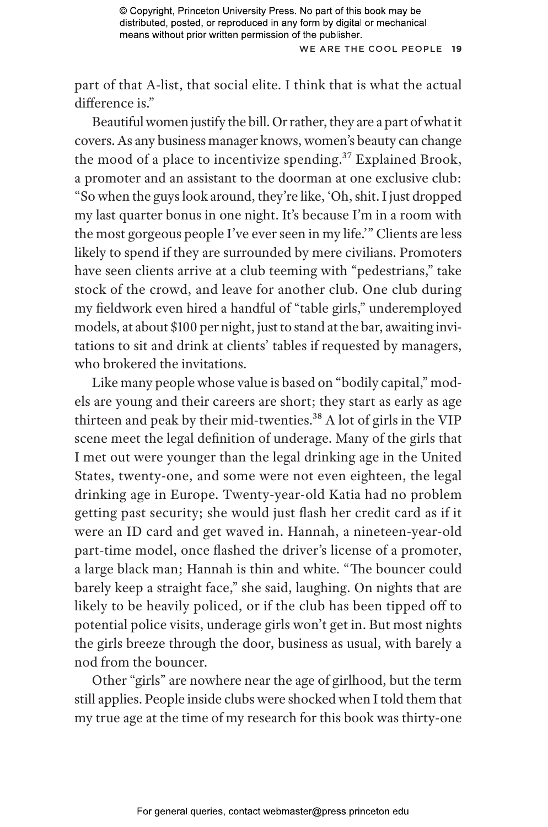#### We Are the Cool People **19**

part of that A-list, that social elite. I think that is what the actual difference is."

Beautiful women justify the bill. Or rather, they are a part of what it covers. As any business manager knows, women's beauty can change the mood of a place to incentivize spending.<sup>37</sup> Explained Brook, a promoter and an assistant to the doorman at one exclusive club: "So when the guys look around, they're like, 'Oh, shit. I just dropped my last quarter bonus in one night. It's because I'm in a room with the most gorgeous people I've ever seen in my life.'" Clients are less likely to spend if they are surrounded by mere civilians. Promoters have seen clients arrive at a club teeming with "pedestrians," take stock of the crowd, and leave for another club. One club during my fieldwork even hired a handful of "table girls," underemployed models, at about \$100 per night, just to stand at the bar, awaiting invitations to sit and drink at clients' tables if requested by managers, who brokered the invitations.

Like many people whose value is based on "bodily capital," models are young and their careers are short; they start as early as age thirteen and peak by their mid-twenties.<sup>38</sup> A lot of girls in the VIP scene meet the legal definition of underage. Many of the girls that I met out were younger than the legal drinking age in the United States, twenty-one, and some were not even eighteen, the legal drinking age in Europe. Twenty-year-old Katia had no problem getting past security; she would just flash her credit card as if it were an ID card and get waved in. Hannah, a nineteen-year-old part-time model, once flashed the driver's license of a promoter, a large black man; Hannah is thin and white. "The bouncer could barely keep a straight face," she said, laughing. On nights that are likely to be heavily policed, or if the club has been tipped off to potential police visits, underage girls won't get in. But most nights the girls breeze through the door, business as usual, with barely a nod from the bouncer.

Other "girls" are nowhere near the age of girlhood, but the term still applies. People inside clubs were shocked when I told them that my true age at the time of my research for this book was thirty-one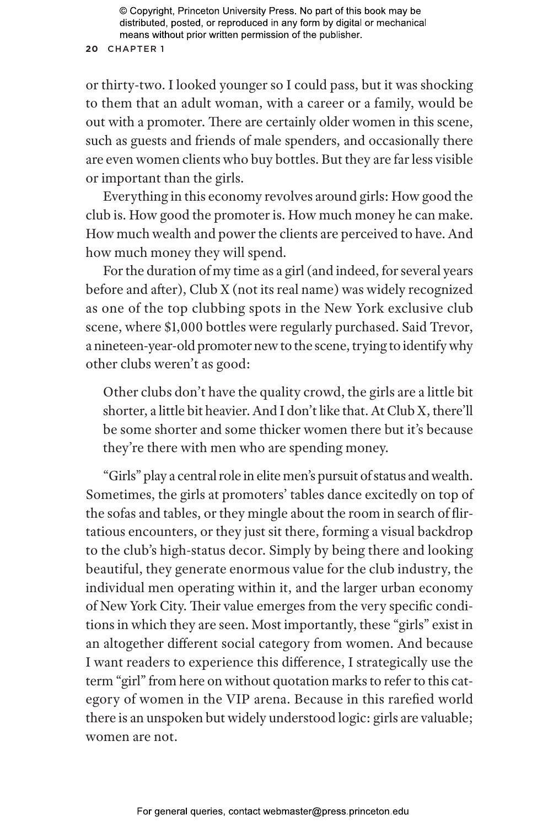#### **20** CHAPTER 1

or thirty-two. I looked younger so I could pass, but it was shocking to them that an adult woman, with a career or a family, would be out with a promoter. There are certainly older women in this scene, such as guests and friends of male spenders, and occasionally there are even women clients who buy bottles. But they are far less visible or important than the girls.

Everything in this economy revolves around girls: How good the club is. How good the promoter is. How much money he can make. How much wealth and power the clients are perceived to have. And how much money they will spend.

For the duration of my time as a girl (and indeed, for several years before and after), Club X (not its real name) was widely recognized as one of the top clubbing spots in the New York exclusive club scene, where \$1,000 bottles were regularly purchased. Said Trevor, a nineteen-year-old promoter new to the scene, trying to identify why other clubs weren't as good:

Other clubs don't have the quality crowd, the girls are a little bit shorter, a little bit heavier. And I don't like that. At Club X, there'll be some shorter and some thicker women there but it's because they're there with men who are spending money.

"Girls" play a central role in elite men's pursuit of status and wealth. Sometimes, the girls at promoters' tables dance excitedly on top of the sofas and tables, or they mingle about the room in search of flirtatious encounters, or they just sit there, forming a visual backdrop to the club's high-status decor. Simply by being there and looking beautiful, they generate enormous value for the club industry, the individual men operating within it, and the larger urban economy of New York City. Their value emerges from the very specific conditions in which they are seen. Most importantly, these "girls" exist in an altogether different social category from women. And because I want readers to experience this difference, I strategically use the term "girl" from here on without quotation marks to refer to this category of women in the VIP arena. Because in this rarefied world there is an unspoken but widely understood logic: girls are valuable; women are not.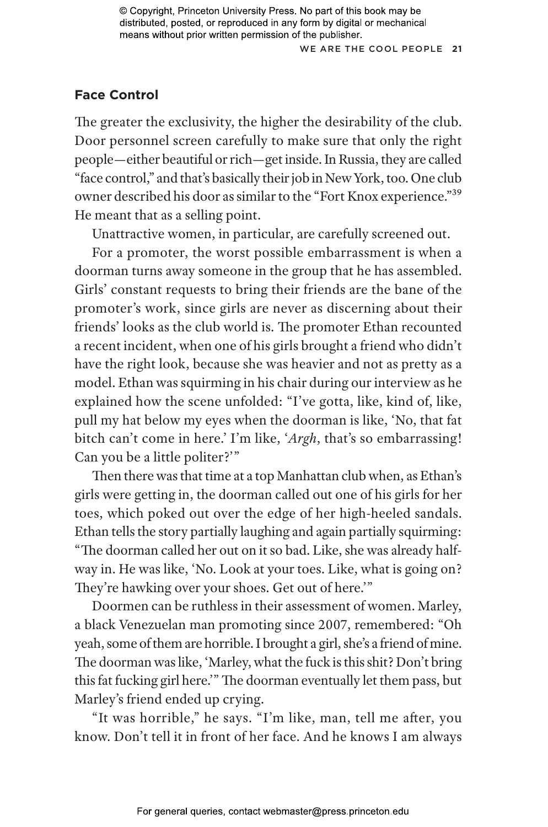We Are the Cool People **21**

### **Face Control**

The greater the exclusivity, the higher the desirability of the club. Door personnel screen carefully to make sure that only the right people—either beautiful or rich—get inside. In Russia, they are called "face control," and that's basically their job in New York, too. One club owner described his door as similar to the "Fort Knox experience."39 He meant that as a selling point.

Unattractive women, in particular, are carefully screened out.

For a promoter, the worst possible embarrassment is when a doorman turns away someone in the group that he has assembled. Girls' constant requests to bring their friends are the bane of the promoter's work, since girls are never as discerning about their friends' looks as the club world is. The promoter Ethan recounted a recent incident, when one of his girls brought a friend who didn't have the right look, because she was heavier and not as pretty as a model. Ethan was squirming in his chair during our interview as he explained how the scene unfolded: "I've gotta, like, kind of, like, pull my hat below my eyes when the doorman is like, 'No, that fat bitch can't come in here.' I'm like, '*Argh*, that's so embarrassing! Can you be a little politer?'"

Then there was that time at a top Manhattan club when, as Ethan's girls were getting in, the doorman called out one of his girls for her toes, which poked out over the edge of her high-heeled sandals. Ethan tells the story partially laughing and again partially squirming: "The doorman called her out on it so bad. Like, she was already halfway in. He was like, 'No. Look at your toes. Like, what is going on? They're hawking over your shoes. Get out of here.'"

Doormen can be ruthless in their assessment of women. Marley, a black Venezuelan man promoting since 2007, remembered: "Oh yeah, some of them are horrible. I brought a girl, she's a friend of mine. The doorman was like, 'Marley, what the fuck is this shit? Don't bring this fat fucking girl here.'" The doorman eventually let them pass, but Marley's friend ended up crying.

"It was horrible," he says. "I'm like, man, tell me after, you know. Don't tell it in front of her face. And he knows I am always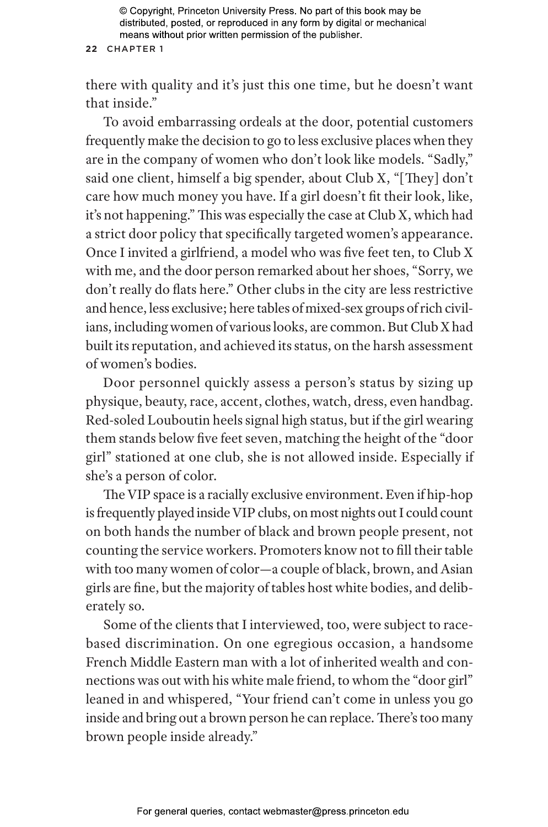#### **22** CHAPTER 1

there with quality and it's just this one time, but he doesn't want that inside."

To avoid embarrassing ordeals at the door, potential customers frequently make the decision to go to less exclusive places when they are in the company of women who don't look like models. "Sadly," said one client, himself a big spender, about Club X, "[They] don't care how much money you have. If a girl doesn't fit their look, like, it's not happening." This was especially the case at Club X, which had a strict door policy that specifically targeted women's appearance. Once I invited a girlfriend, a model who was five feet ten, to Club X with me, and the door person remarked about her shoes, "Sorry, we don't really do flats here." Other clubs in the city are less restrictive and hence, less exclusive; here tables of mixed-sex groups of rich civilians, including women of various looks, are common. But Club X had built its reputation, and achieved its status, on the harsh assessment of women's bodies.

Door personnel quickly assess a person's status by sizing up physique, beauty, race, accent, clothes, watch, dress, even handbag. Red-soled Louboutin heels signal high status, but if the girl wearing them stands below five feet seven, matching the height of the "door girl" stationed at one club, she is not allowed inside. Especially if she's a person of color.

The VIP space is a racially exclusive environment. Even if hip-hop is frequently played inside VIP clubs, on most nights out I could count on both hands the number of black and brown people present, not counting the service workers. Promoters know not to fill their table with too many women of color—a couple of black, brown, and Asian girls are fine, but the majority of tables host white bodies, and deliberately so.

Some of the clients that I interviewed, too, were subject to racebased discrimination. On one egregious occasion, a handsome French Middle Eastern man with a lot of inherited wealth and connections was out with his white male friend, to whom the "door girl" leaned in and whispered, "Your friend can't come in unless you go inside and bring out a brown person he can replace. There's too many brown people inside already."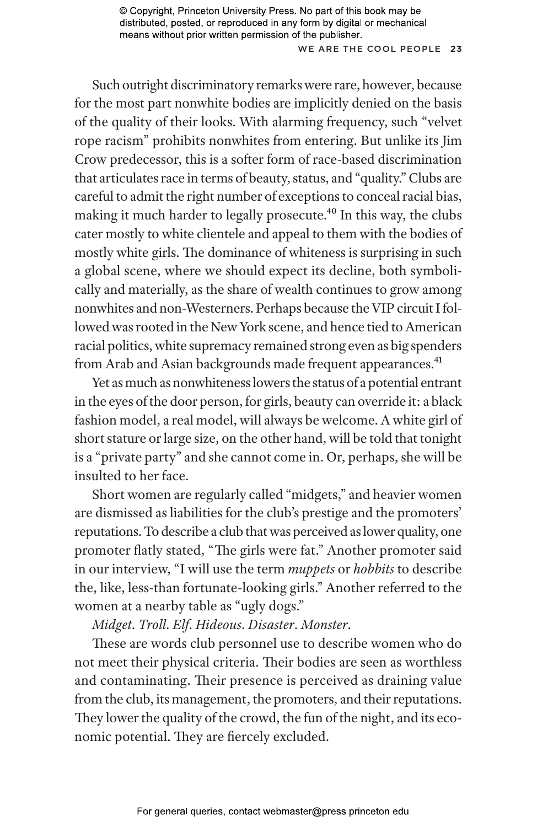#### We Are the Cool People **23**

Such outright discriminatory remarks were rare, however, because for the most part nonwhite bodies are implicitly denied on the basis of the quality of their looks. With alarming frequency, such "velvet rope racism" prohibits nonwhites from entering. But unlike its Jim Crow predecessor, this is a softer form of race-based discrimination that articulates race in terms of beauty, status, and "quality." Clubs are careful to admit the right number of exceptions to conceal racial bias, making it much harder to legally prosecute.40 In this way, the clubs cater mostly to white clientele and appeal to them with the bodies of mostly white girls. The dominance of whiteness is surprising in such a global scene, where we should expect its decline, both symbolically and materially, as the share of wealth continues to grow among nonwhites and non-Westerners. Perhaps because the VIP circuit I followed was rooted in the New York scene, and hence tied to American racial politics, white supremacy remained strong even as big spenders from Arab and Asian backgrounds made frequent appearances.<sup>41</sup>

Yet as much as nonwhiteness lowers the status of a potential entrant in the eyes of the door person, for girls, beauty can override it: a black fashion model, a real model, will always be welcome. A white girl of short stature or large size, on the other hand, will be told that tonight is a "private party" and she cannot come in. Or, perhaps, she will be insulted to her face.

Short women are regularly called "midgets," and heavier women are dismissed as liabilities for the club's prestige and the promoters' reputations. To describe a club that was perceived as lower quality, one promoter flatly stated, "The girls were fat." Another promoter said in our interview, "I will use the term *muppets* or *hobbits* to describe the, like, less-than fortunate-looking girls." Another referred to the women at a nearby table as "ugly dogs."

# *Midget*. *Troll*. *Elf*. *Hideous*. *Disaster*. *Monster*.

These are words club personnel use to describe women who do not meet their physical criteria. Their bodies are seen as worthless and contaminating. Their presence is perceived as draining value from the club, its management, the promoters, and their reputations. They lower the quality of the crowd, the fun of the night, and its economic potential. They are fiercely excluded.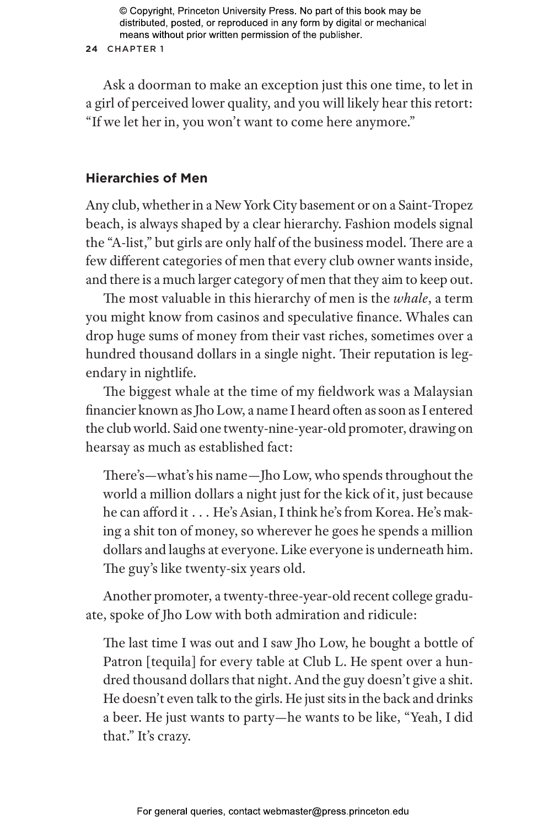**24** CHAPTER 1

Ask a doorman to make an exception just this one time, to let in a girl of perceived lower quality, and you will likely hear this retort: "If we let her in, you won't want to come here anymore."

## **Hierarchies of Men**

Any club, whether in a New York City basement or on a Saint-Tropez beach, is always shaped by a clear hierarchy. Fashion models signal the "A-list," but girls are only half of the business model. There are a few different categories of men that every club owner wants inside, and there is a much larger category of men that they aim to keep out.

The most valuable in this hierarchy of men is the *whale*, a term you might know from casinos and speculative finance. Whales can drop huge sums of money from their vast riches, sometimes over a hundred thousand dollars in a single night. Their reputation is legendary in nightlife.

The biggest whale at the time of my fieldwork was a Malaysian financier known as Jho Low, a name I heard often as soon as I entered the club world. Said one twenty-nine-year-old promoter, drawing on hearsay as much as established fact:

There's—what's his name—Jho Low, who spends throughout the world a million dollars a night just for the kick of it, just because he can afford it . . . He's Asian, I think he's from Korea. He's making a shit ton of money, so wherever he goes he spends a million dollars and laughs at everyone. Like everyone is underneath him. The guy's like twenty-six years old.

Another promoter, a twenty-three-year-old recent college graduate, spoke of Jho Low with both admiration and ridicule:

The last time I was out and I saw Jho Low, he bought a bottle of Patron [tequila] for every table at Club L. He spent over a hundred thousand dollars that night. And the guy doesn't give a shit. He doesn't even talk to the girls. He just sits in the back and drinks a beer. He just wants to party—he wants to be like, "Yeah, I did that." It's crazy.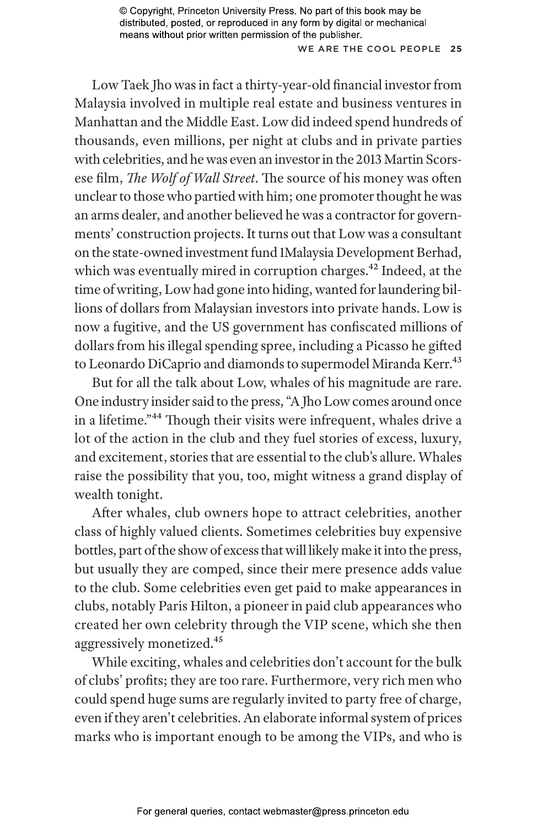We Are the Cool People **25**

Low Taek Jho was in fact a thirty-year-old financial investor from Malaysia involved in multiple real estate and business ventures in Manhattan and the Middle East. Low did indeed spend hundreds of thousands, even millions, per night at clubs and in private parties with celebrities, and he was even an investor in the 2013 Martin Scorsese film, *The Wolf of Wall Street*. The source of his money was often unclear to those who partied with him; one promoter thought he was an arms dealer, and another believed he was a contractor for governments' construction projects. It turns out that Low was a consultant on the state-owned investment fund 1Malaysia Development Berhad, which was eventually mired in corruption charges.<sup>42</sup> Indeed, at the time of writing, Low had gone into hiding, wanted for laundering billions of dollars from Malaysian investors into private hands. Low is now a fugitive, and the US government has confiscated millions of dollars from his illegal spending spree, including a Picasso he gifted to Leonardo DiCaprio and diamonds to supermodel Miranda Kerr.<sup>43</sup>

But for all the talk about Low, whales of his magnitude are rare. One industry insider said to the press, "A Jho Low comes around once in a lifetime."44 Though their visits were infrequent, whales drive a lot of the action in the club and they fuel stories of excess, luxury, and excitement, stories that are essential to the club's allure. Whales raise the possibility that you, too, might witness a grand display of wealth tonight.

After whales, club owners hope to attract celebrities, another class of highly valued clients. Sometimes celebrities buy expensive bottles, part of the show of excess that will likely make it into the press, but usually they are comped, since their mere presence adds value to the club. Some celebrities even get paid to make appearances in clubs, notably Paris Hilton, a pioneer in paid club appearances who created her own celebrity through the VIP scene, which she then aggressively monetized.45

While exciting, whales and celebrities don't account for the bulk of clubs' profits; they are too rare. Furthermore, very rich men who could spend huge sums are regularly invited to party free of charge, even if they aren't celebrities. An elaborate informal system of prices marks who is important enough to be among the VIPs, and who is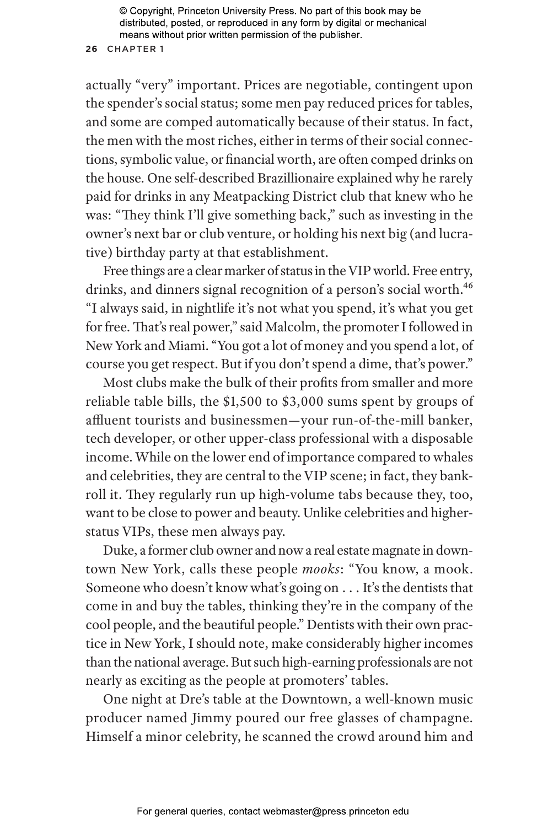#### **26** CHAPTER 1

actually "very" important. Prices are negotiable, contingent upon the spender's social status; some men pay reduced prices for tables, and some are comped automatically because of their status. In fact, the men with the most riches, either in terms of their social connections, symbolic value, or financial worth, are often comped drinks on the house. One self-described Brazillionaire explained why he rarely paid for drinks in any Meatpacking District club that knew who he was: "They think I'll give something back," such as investing in the owner's next bar or club venture, or holding his next big (and lucrative) birthday party at that establishment.

Free things are a clear marker of status in the VIP world. Free entry, drinks, and dinners signal recognition of a person's social worth.<sup>46</sup> "I always said, in nightlife it's not what you spend, it's what you get for free. That's real power," said Malcolm, the promoter I followed in New York and Miami. "You got a lot of money and you spend a lot, of course you get respect. But if you don't spend a dime, that's power."

Most clubs make the bulk of their profits from smaller and more reliable table bills, the \$1,500 to \$3,000 sums spent by groups of affluent tourists and businessmen—your run-of-the-mill banker, tech developer, or other upper-class professional with a disposable income. While on the lower end of importance compared to whales and celebrities, they are central to the VIP scene; in fact, they bankroll it. They regularly run up high-volume tabs because they, too, want to be close to power and beauty. Unlike celebrities and higherstatus VIPs, these men always pay.

Duke, a former club owner and now a real estate magnate in downtown New York, calls these people *mooks*: "You know, a mook. Someone who doesn't know what's going on . . . It's the dentists that come in and buy the tables, thinking they're in the company of the cool people, and the beautiful people." Dentists with their own practice in New York, I should note, make considerably higher incomes than the national average. But such high-earning professionals are not nearly as exciting as the people at promoters' tables.

One night at Dre's table at the Downtown, a well-known music producer named Jimmy poured our free glasses of champagne. Himself a minor celebrity, he scanned the crowd around him and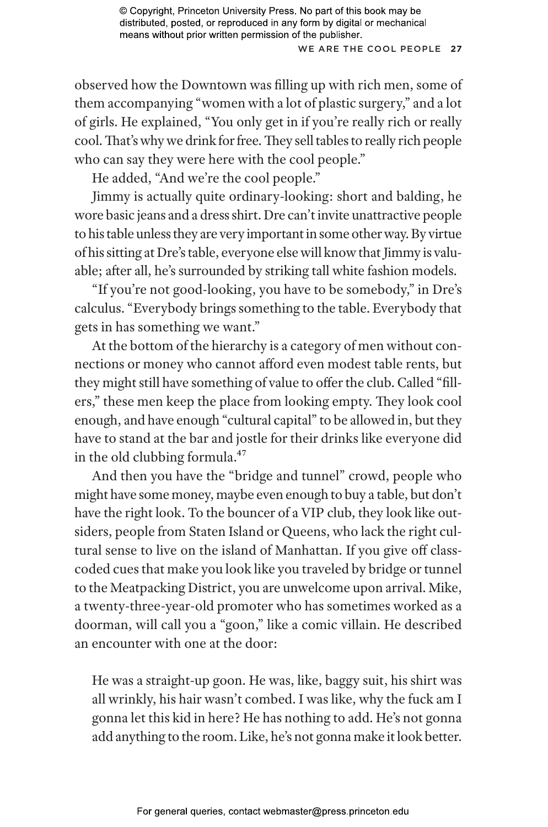We Are the Cool People **27**

observed how the Downtown was filling up with rich men, some of them accompanying "women with a lot of plastic surgery," and a lot of girls. He explained, "You only get in if you're really rich or really cool. That's why we drink for free. They sell tables to really rich people who can say they were here with the cool people."

He added, "And we're the cool people."

Jimmy is actually quite ordinary-looking: short and balding, he wore basic jeans and a dress shirt. Dre can't invite unattractive people to his table unless they are very important in some other way. By virtue of his sitting at Dre's table, everyone else will know that Jimmy is valuable; after all, he's surrounded by striking tall white fashion models.

"If you're not good-looking, you have to be somebody," in Dre's calculus. "Everybody brings something to the table. Everybody that gets in has something we want."

At the bottom of the hierarchy is a category of men without connections or money who cannot afford even modest table rents, but they might still have something of value to offer the club. Called "fillers," these men keep the place from looking empty. They look cool enough, and have enough "cultural capital" to be allowed in, but they have to stand at the bar and jostle for their drinks like everyone did in the old clubbing formula.47

And then you have the "bridge and tunnel" crowd, people who might have some money, maybe even enough to buy a table, but don't have the right look. To the bouncer of a VIP club, they look like outsiders, people from Staten Island or Queens, who lack the right cultural sense to live on the island of Manhattan. If you give off classcoded cues that make you look like you traveled by bridge or tunnel to the Meatpacking District, you are unwelcome upon arrival. Mike, a twenty-three-year-old promoter who has sometimes worked as a doorman, will call you a "goon," like a comic villain. He described an encounter with one at the door:

He was a straight-up goon. He was, like, baggy suit, his shirt was all wrinkly, his hair wasn't combed. I was like, why the fuck am I gonna let this kid in here? He has nothing to add. He's not gonna add anything to the room. Like, he's not gonna make it look better.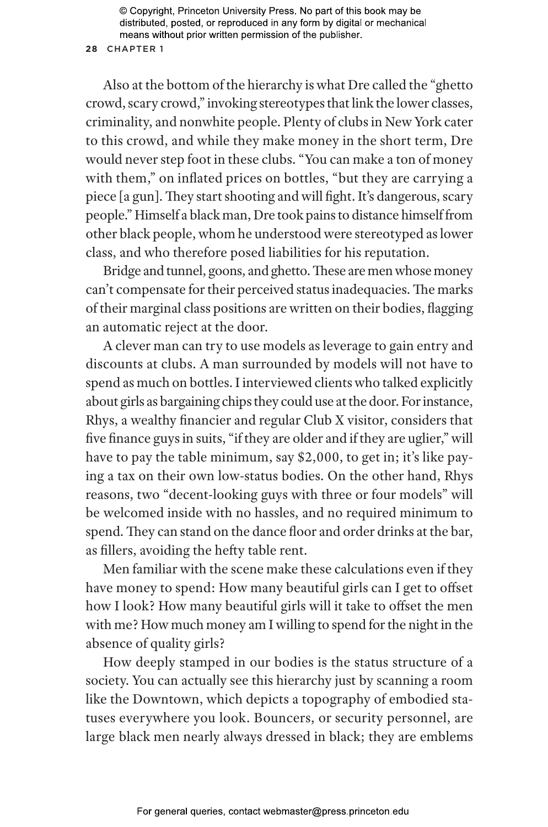#### **28** CHAPTER 1

Also at the bottom of the hierarchy is what Dre called the "ghetto crowd, scary crowd," invoking stereotypes that link the lower classes, criminality, and nonwhite people. Plenty of clubs in New York cater to this crowd, and while they make money in the short term, Dre would never step foot in these clubs. "You can make a ton of money with them," on inflated prices on bottles, "but they are carrying a piece [a gun]. They start shooting and will fight. It's dangerous, scary people." Himself a black man, Dre took pains to distance himself from other black people, whom he understood were stereotyped as lower class, and who therefore posed liabilities for his reputation.

Bridge and tunnel, goons, and ghetto. These are men whose money can't compensate for their perceived status inadequacies. The marks of their marginal class positions are written on their bodies, flagging an automatic reject at the door.

A clever man can try to use models as leverage to gain entry and discounts at clubs. A man surrounded by models will not have to spend as much on bottles. I interviewed clients who talked explicitly about girls as bargaining chips they could use at the door. For instance, Rhys, a wealthy financier and regular Club X visitor, considers that five finance guys in suits, "if they are older and if they are uglier," will have to pay the table minimum, say \$2,000, to get in; it's like paying a tax on their own low-status bodies. On the other hand, Rhys reasons, two "decent-looking guys with three or four models" will be welcomed inside with no hassles, and no required minimum to spend. They can stand on the dance floor and order drinks at the bar, as fillers, avoiding the hefty table rent.

Men familiar with the scene make these calculations even if they have money to spend: How many beautiful girls can I get to offset how I look? How many beautiful girls will it take to offset the men with me? How much money am I willing to spend for the night in the absence of quality girls?

How deeply stamped in our bodies is the status structure of a society. You can actually see this hierarchy just by scanning a room like the Downtown, which depicts a topography of embodied statuses everywhere you look. Bouncers, or security personnel, are large black men nearly always dressed in black; they are emblems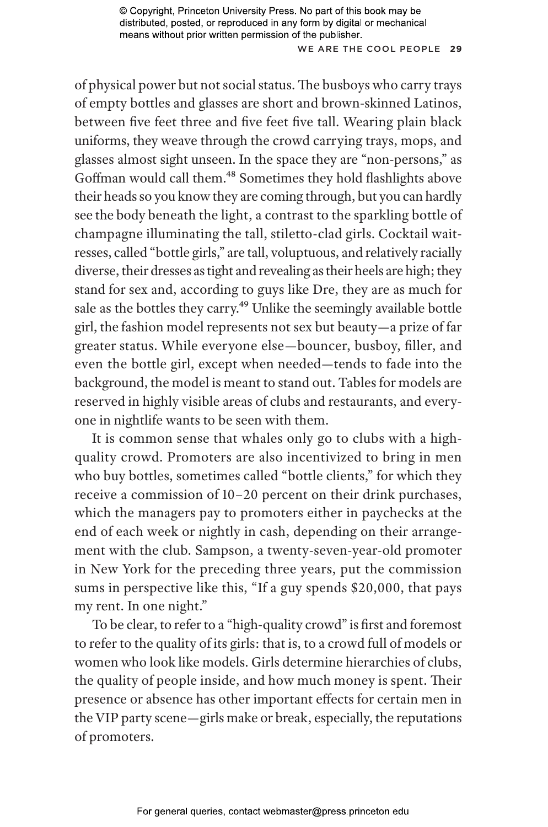#### We Are the Cool People **29**

of physical power but not social status. The busboys who carry trays of empty bottles and glasses are short and brown-skinned Latinos, between five feet three and five feet five tall. Wearing plain black uniforms, they weave through the crowd carrying trays, mops, and glasses almost sight unseen. In the space they are "non-persons," as Goffman would call them.<sup>48</sup> Sometimes they hold flashlights above their heads so you know they are coming through, but you can hardly see the body beneath the light, a contrast to the sparkling bottle of champagne illuminating the tall, stiletto-clad girls. Cocktail waitresses, called "bottle girls," are tall, voluptuous, and relatively racially diverse, their dresses as tight and revealing as their heels are high; they stand for sex and, according to guys like Dre, they are as much for sale as the bottles they carry.<sup>49</sup> Unlike the seemingly available bottle girl, the fashion model represents not sex but beauty—a prize of far greater status. While everyone else—bouncer, busboy, filler, and even the bottle girl, except when needed—tends to fade into the background, the model is meant to stand out. Tables for models are reserved in highly visible areas of clubs and restaurants, and everyone in nightlife wants to be seen with them.

It is common sense that whales only go to clubs with a highquality crowd. Promoters are also incentivized to bring in men who buy bottles, sometimes called "bottle clients," for which they receive a commission of 10–20 percent on their drink purchases, which the managers pay to promoters either in paychecks at the end of each week or nightly in cash, depending on their arrangement with the club. Sampson, a twenty-seven-year-old promoter in New York for the preceding three years, put the commission sums in perspective like this, "If a guy spends \$20,000, that pays my rent. In one night."

To be clear, to refer to a "high-quality crowd" is first and foremost to refer to the quality of its girls: that is, to a crowd full of models or women who look like models. Girls determine hierarchies of clubs, the quality of people inside, and how much money is spent. Their presence or absence has other important effects for certain men in the VIP party scene—girls make or break, especially, the reputations of promoters.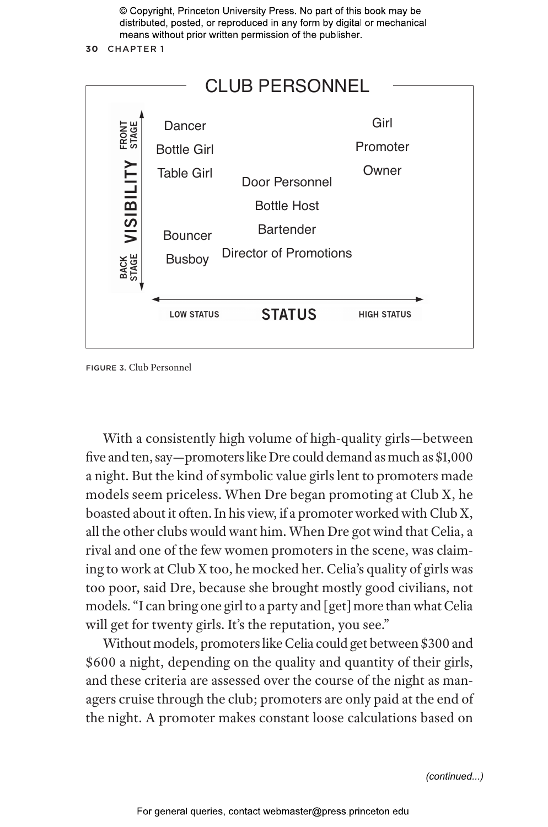**30** CHAPTER 1



FIGURE 3. Club Personnel

With a consistently high volume of high-quality girls—between five and ten, say—promoters like Dre could demand as much as \$1,000 a night. But the kind of symbolic value girls lent to promoters made models seem priceless. When Dre began promoting at Club X, he boasted about it often. In his view, if a promoter worked with Club X, all the other clubs would want him. When Dre got wind that Celia, a rival and one of the few women promoters in the scene, was claiming to work at Club X too, he mocked her. Celia's quality of girls was too poor, said Dre, because she brought mostly good civilians, not models. "I can bring one girl to a party and [get] more than what Celia will get for twenty girls. It's the reputation, you see."

Without models, promoters like Celia could get between \$300 and \$600 a night, depending on the quality and quantity of their girls, and these criteria are assessed over the course of the night as managers cruise through the club; promoters are only paid at the end of the night. A promoter makes constant loose calculations based on

*(continued...)*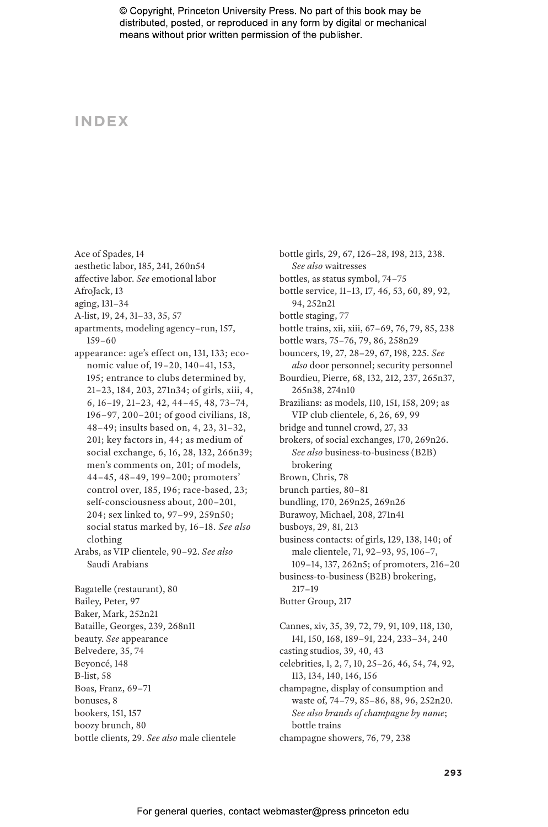## **INDEX**

Ace of Spades, 14 aesthetic labor, 185, 241, 260n54 affective labor. *See* emotional labor AfroJack, 13 aging, 131–34 A-list, 19, 24, 31–33, 35, 57 apartments, modeling agency–run, 157, 159–60 appearance: age's effect on, 131, 133; economic value of, 19–20, 140–41, 153, 195; entrance to clubs determined by, 21–23, 184, 203, 271n34; of girls, xiii, 4, 6, 16–19, 21–23, 42, 44–45, 48, 73–74, 196–97, 200–201; of good civilians, 18, 48–49; insults based on, 4, 23, 31–32, 201; key factors in, 44; as medium of social exchange, 6, 16, 28, 132, 266n39; men's comments on, 201; of models, 44–45, 48–49, 199–200; promoters' control over, 185, 196; race-based, 23; self-consciousness about, 200–201, 204; sex linked to, 97–99, 259n50; social status marked by, 16–18. *See also* clothing Arabs, as VIP clientele, 90–92. *See also* Saudi Arabians Bagatelle (restaurant), 80 Bailey, Peter, 97 Baker, Mark, 252n21 Bataille, Georges, 239, 268n11 beauty. *See* appearance Belvedere, 35, 74 Beyoncé, 148 B-list, 58 Boas, Franz, 69–71 bonuses, 8 bookers, 151, 157 boozy brunch, 80 bottle clients, 29. *See also* male clientele

bottle girls, 29, 67, 126–28, 198, 213, 238. *See also* waitresses bottles, as status symbol, 74–75 bottle service, 11–13, 17, 46, 53, 60, 89, 92, 94, 252n21 bottle staging, 77 bottle trains, xii, xiii, 67–69, 76, 79, 85, 238 bottle wars, 75–76, 79, 86, 258n29 bouncers, 19, 27, 28–29, 67, 198, 225. *See also* door personnel; security personnel Bourdieu, Pierre, 68, 132, 212, 237, 265n37, 265n38, 274n10 Brazilians: as models, 110, 151, 158, 209; as VIP club clientele, 6, 26, 69, 99 bridge and tunnel crowd, 27, 33 brokers, of social exchanges, 170, 269n26. *See also* business-to-business (B2B) brokering Brown, Chris, 78 brunch parties, 80–81 bundling, 170, 269n25, 269n26 Burawoy, Michael, 208, 271n41 busboys, 29, 81, 213 business contacts: of girls, 129, 138, 140; of male clientele, 71, 92–93, 95, 106–7, 109–14, 137, 262n5; of promoters, 216–20 business-to-business (B2B) brokering, 217–19 Butter Group, 217 Cannes, xiv, 35, 39, 72, 79, 91, 109, 118, 130, 141, 150, 168, 189–91, 224, 233–34, 240 casting studios, 39, 40, 43 celebrities, 1, 2, 7, 10, 25–26, 46, 54, 74, 92, 113, 134, 140, 146, 156

champagne, display of consumption and waste of, 74–79, 85–86, 88, 96, 252n20. *See also brands of champagne by name*; bottle trains champagne showers, 76, 79, 238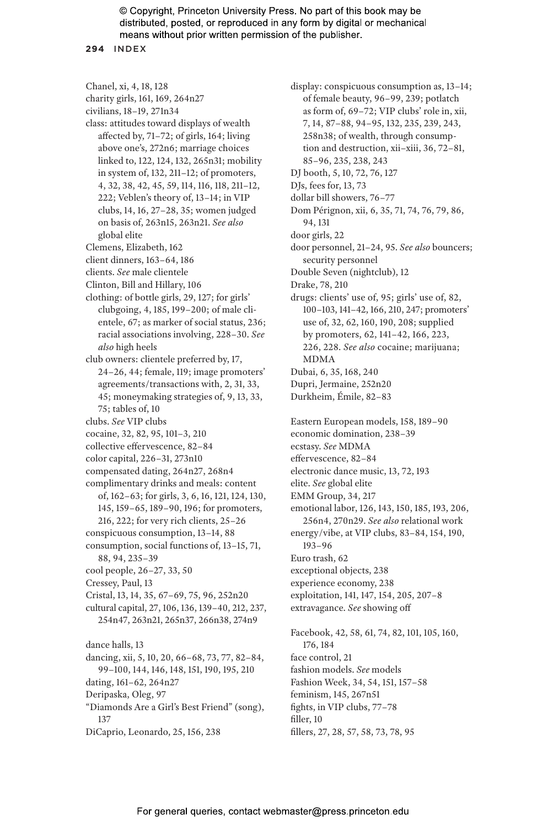**294** INDEX

Chanel, xi, 4, 18, 128 charity girls, 161, 169, 264n27 civilians, 18–19, 271n34 class: attitudes toward displays of wealth affected by, 71–72; of girls, 164; living above one's, 272n6; marriage choices linked to, 122, 124, 132, 265n31; mobility in system of, 132, 211–12; of promoters, 4, 32, 38, 42, 45, 59, 114, 116, 118, 211–12, 222; Veblen's theory of, 13–14; in VIP clubs, 14, 16, 27–28, 35; women judged on basis of, 263n15, 263n21. *See also* global elite Clemens, Elizabeth, 162 client dinners, 163–64, 186 clients. *See* male clientele Clinton, Bill and Hillary, 106 clothing: of bottle girls, 29, 127; for girls' clubgoing, 4, 185, 199–200; of male clientele, 67; as marker of social status, 236; racial associations involving, 228–30. *See also* high heels club owners: clientele preferred by, 17, 24–26, 44; female, 119; image promoters' agreements/transactions with, 2, 31, 33, 45; moneymaking strategies of, 9, 13, 33, 75; tables of, 10 clubs. *See* VIP clubs cocaine, 32, 82, 95, 101–3, 210 collective effervescence, 82–84 color capital, 226–31, 273n10 compensated dating, 264n27, 268n4 complimentary drinks and meals: content of, 162–63; for girls, 3, 6, 16, 121, 124, 130, 145, 159–65, 189–90, 196; for promoters, 216, 222; for very rich clients, 25–26 conspicuous consumption, 13–14, 88 consumption, social functions of, 13–15, 71, 88, 94, 235–39 cool people, 26–27, 33, 50 Cressey, Paul, 13 Cristal, 13, 14, 35, 67–69, 75, 96, 252n20 cultural capital, 27, 106, 136, 139–40, 212, 237, 254n47, 263n21, 265n37, 266n38, 274n9 dance halls, 13 dancing, xii, 5, 10, 20, 66–68, 73, 77, 82–84, 99–100, 144, 146, 148, 151, 190, 195, 210 dating, 161–62, 264n27 Deripaska, Oleg, 97 "Diamonds Are a Girl's Best Friend" (song), 137 DiCaprio, Leonardo, 25, 156, 238

display: conspicuous consumption as, 13–14; of female beauty, 96–99, 239; potlatch as form of, 69–72; VIP clubs' role in, xii, 7, 14, 87–88, 94–95, 132, 235, 239, 243, 258n38; of wealth, through consumption and destruction, xii–xiii, 36, 72–81, 85–96, 235, 238, 243 DJ booth, 5, 10, 72, 76, 127 DJs, fees for, 13, 73 dollar bill showers, 76–77 Dom Pérignon, xii, 6, 35, 71, 74, 76, 79, 86, 94, 131 door girls, 22 door personnel, 21–24, 95. *See also* bouncers; security personnel Double Seven (nightclub), 12 Drake, 78, 210 drugs: clients' use of, 95; girls' use of, 82, 100–103, 141–42, 166, 210, 247; promoters' use of, 32, 62, 160, 190, 208; supplied by promoters, 62, 141–42, 166, 223, 226, 228. *See also* cocaine; marijuana; MDMA Dubai, 6, 35, 168, 240 Dupri, Jermaine, 252n20 Durkheim, Émile, 82–83 Eastern European models, 158, 189–90 economic domination, 238–39 ecstasy. *See* MDMA effervescence, 82–84 electronic dance music, 13, 72, 193 elite. *See* global elite EMM Group, 34, 217 emotional labor, 126, 143, 150, 185, 193, 206, 256n4, 270n29. *See also* relational work energy/vibe, at VIP clubs, 83–84, 154, 190, 193–96 Euro trash, 62 exceptional objects, 238 experience economy, 238 exploitation, 141, 147, 154, 205, 207–8 extravagance. *See* showing off Facebook, 42, 58, 61, 74, 82, 101, 105, 160, 176, 184 face control, 21 fashion models. *See* models Fashion Week, 34, 54, 151, 157–58 feminism, 145, 267n51 fights, in VIP clubs, 77–78 filler, 10

fillers, 27, 28, 57, 58, 73, 78, 95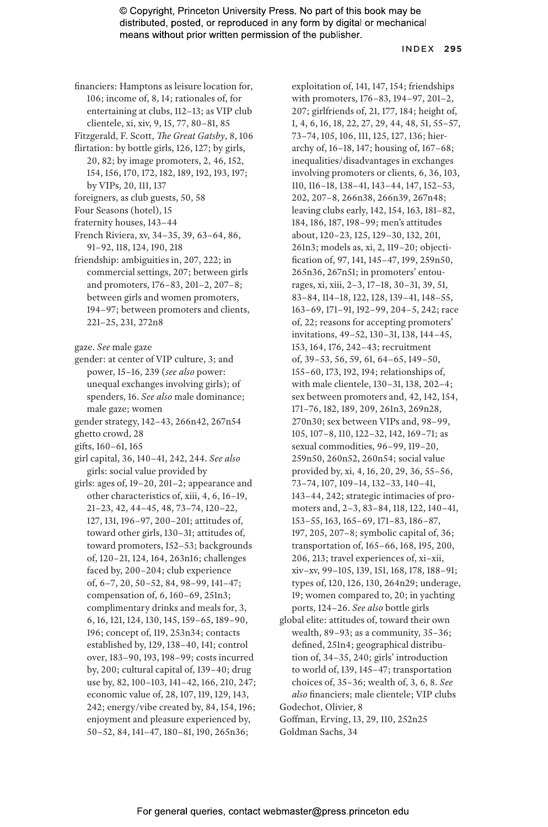#### INDEX **295**

- financiers: Hamptons as leisure location for, 106; income of, 8, 14; rationales of, for entertaining at clubs, 112–13; as VIP club clientele, xi, xiv, 9, 15, 77, 80–81, 85
- Fitzgerald, F. Scott, *The Great Gatsby*, 8, 106
- flirtation: by bottle girls, 126, 127; by girls, 20, 82; by image promoters, 2, 46, 152, 154, 156, 170, 172, 182, 189, 192, 193, 197;
- by VIPs, 20, 111, 137
- foreigners, as club guests, 50, 58
- Four Seasons (hotel), 15
- fraternity houses, 143–44
- French Riviera, xv, 34–35, 39, 63–64, 86, 91–92, 118, 124, 190, 218
- friendship: ambiguities in, 207, 222; in commercial settings, 207; between girls and promoters, 176–83, 201–2, 207–8; between girls and women promoters, 194–97; between promoters and clients, 221–25, 231, 272n8
- gaze. *See* male gaze
- gender: at center of VIP culture, 3; and power, 15–16, 239 (*see also* power: unequal exchanges involving girls); of spenders, 16. *See also* male dominance; male gaze; women
- gender strategy, 142–43, 266n42, 267n54
- ghetto crowd, 28
- gifts, 160–61, 165
- girl capital, 36, 140–41, 242, 244. *See also* girls: social value provided by
- girls: ages of, 19–20, 201–2; appearance and other characteristics of, xiii, 4, 6, 16–19, 21–23, 42, 44–45, 48, 73–74, 120–22, 127, 131, 196–97, 200–201; attitudes of, toward other girls, 130–31; attitudes of, toward promoters, 152–53; backgrounds of, 120–21, 124, 164, 263n16; challenges faced by, 200–204; club experience of, 6–7, 20, 50–52, 84, 98–99, 141–47; compensation of, 6, 160–69, 251n3; complimentary drinks and meals for, 3, 6, 16, 121, 124, 130, 145, 159–65, 189–90, 196; concept of, 119, 253n34; contacts established by, 129, 138–40, 141; control over, 183–90, 193, 198–99; costs incurred by, 200; cultural capital of, 139–40; drug use by, 82, 100–103, 141–42, 166, 210, 247; economic value of, 28, 107, 119, 129, 143, 242; energy/vibe created by, 84, 154, 196; enjoyment and pleasure experienced by, 50–52, 84, 141–47, 180–81, 190, 265n36;

exploitation of, 141, 147, 154; friendships with promoters, 176–83, 194–97, 201–2, 207; girlfriends of, 21, 177, 184; height of, 1, 4, 6, 16, 18, 22, 27, 29, 44, 48, 51, 55–57, 73–74, 105, 106, 111, 125, 127, 136; hierarchy of, 16–18, 147; housing of, 167–68; inequalities/disadvantages in exchanges involving promoters or clients, 6, 36, 103, 110, 116–18, 138–41, 143–44, 147, 152–53, 202, 207–8, 266n38, 266n39, 267n48; leaving clubs early, 142, 154, 163, 181–82, 184, 186, 187, 198–99; men's attitudes about, 120–23, 125, 129–30, 132, 201, 261n3; models as, xi, 2, 119–20; objectification of, 97, 141, 145–47, 199, 259n50, 265n36, 267n51; in promoters' entourages, xi, xiii, 2–3, 17–18, 30–31, 39, 51, 83–84, 114–18, 122, 128, 139–41, 148–55, 163–69, 171–91, 192–99, 204–5, 242; race of, 22; reasons for accepting promoters' invitations, 49–52, 130–31, 138, 144–45, 153, 164, 176, 242–43; recruitment of, 39–53, 56, 59, 61, 64–65, 149–50, 155–60, 173, 192, 194; relationships of, with male clientele, 130–31, 138, 202–4; sex between promoters and, 42, 142, 154, 171–76, 182, 189, 209, 261n3, 269n28, 270n30; sex between VIPs and, 98–99, 105, 107–8, 110, 122–32, 142, 169–71; as sexual commodities, 96–99, 119–20, 259n50, 260n52, 260n54; social value provided by, xi, 4, 16, 20, 29, 36, 55–56, 73–74, 107, 109–14, 132–33, 140–41, 143–44, 242; strategic intimacies of promoters and, 2–3, 83–84, 118, 122, 140–41, 153–55, 163, 165–69, 171–83, 186–87, 197, 205, 207–8; symbolic capital of, 36; transportation of, 165–66, 168, 195, 200, 206, 213; travel experiences of, xi–xii, xiv–xv, 99–105, 139, 151, 168, 178, 188–91; types of, 120, 126, 130, 264n29; underage, 19; women compared to, 20; in yachting ports, 124–26. *See also* bottle girls

- global elite: attitudes of, toward their own wealth, 89–93; as a community, 35–36; defined, 251n4; geographical distribution of, 34–35, 240; girls' introduction to world of, 139, 145–47; transportation choices of, 35–36; wealth of, 3, 6, 8. *See also* financiers; male clientele; VIP clubs
- Godechot, Olivier, 8
- Goffman, Erving, 13, 29, 110, 252n25
- Goldman Sachs, 34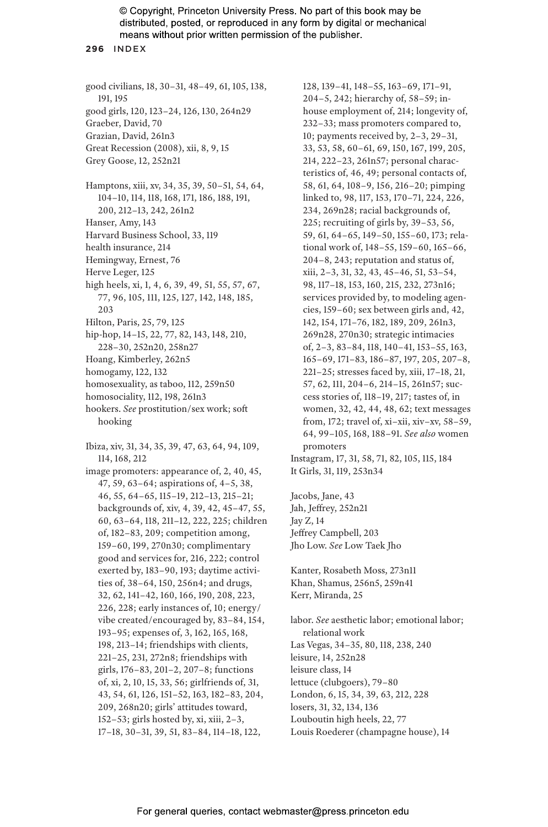- **296** INDEX
- good civilians, 18, 30–31, 48–49, 61, 105, 138, 191, 195 good girls, 120, 123–24, 126, 130, 264n29
- Graeber, David, 70
- Grazian, David, 261n3
- Great Recession (2008), xii, 8, 9, 15
- Grey Goose, 12, 252n21
- Hamptons, xiii, xv, 34, 35, 39, 50–51, 54, 64, 104–10, 114, 118, 168, 171, 186, 188, 191, 200, 212–13, 242, 261n2
- Hanser, Amy, 143
- Harvard Business School, 33, 119
- health insurance, 214
- Hemingway, Ernest, 76
- Herve Leger, 125
- high heels, xi, 1, 4, 6, 39, 49, 51, 55, 57, 67, 77, 96, 105, 111, 125, 127, 142, 148, 185, 203
- Hilton, Paris, 25, 79, 125
- hip-hop, 14-15, 22, 77, 82, 143, 148, 210, 228–30, 252n20, 258n27
- Hoang, Kimberley, 262n5
- homogamy, 122, 132
- homosexuality, as taboo, 112, 259n50
- homosociality, 112, 198, 261n3
- hookers. *See* prostitution/sex work; soft hooking
- Ibiza, xiv, 31, 34, 35, 39, 47, 63, 64, 94, 109, 114, 168, 212
- image promoters: appearance of, 2, 40, 45, 47, 59, 63–64; aspirations of, 4–5, 38, 46, 55, 64–65, 115–19, 212–13, 215–21; backgrounds of, xiv, 4, 39, 42, 45–47, 55, 60, 63–64, 118, 211–12, 222, 225; children of, 182–83, 209; competition among, 159–60, 199, 270n30; complimentary good and services for, 216, 222; control exerted by, 183–90, 193; daytime activities of, 38–64, 150, 256n4; and drugs, 32, 62, 141–42, 160, 166, 190, 208, 223, 226, 228; early instances of, 10; energy/ vibe created/encouraged by, 83–84, 154, 193–95; expenses of, 3, 162, 165, 168, 198, 213–14; friendships with clients, 221–25, 231, 272n8; friendships with girls, 176–83, 201–2, 207–8; functions of, xi, 2, 10, 15, 33, 56; girlfriends of, 31, 43, 54, 61, 126, 151–52, 163, 182–83, 204, 209, 268n20; girls' attitudes toward, 152–53; girls hosted by, xi, xiii, 2–3, 17–18, 30–31, 39, 51, 83–84, 114–18, 122,

128, 139–41, 148–55, 163–69, 171–91, 204–5, 242; hierarchy of, 58–59; inhouse employment of, 214; longevity of, 232–33; mass promoters compared to, 10; payments received by, 2–3, 29–31, 33, 53, 58, 60–61, 69, 150, 167, 199, 205, 214, 222–23, 261n57; personal characteristics of, 46, 49; personal contacts of, 58, 61, 64, 108–9, 156, 216–20; pimping linked to, 98, 117, 153, 170–71, 224, 226, 234, 269n28; racial backgrounds of, 225; recruiting of girls by, 39–53, 56, 59, 61, 64–65, 149–50, 155–60, 173; relational work of, 148–55, 159–60, 165–66, 204–8, 243; reputation and status of, xiii, 2–3, 31, 32, 43, 45–46, 51, 53–54, 98, 117–18, 153, 160, 215, 232, 273n16; services provided by, to modeling agencies, 159–60; sex between girls and, 42, 142, 154, 171–76, 182, 189, 209, 261n3, 269n28, 270n30; strategic intimacies of, 2–3, 83–84, 118, 140–41, 153–55, 163, 165–69, 171–83, 186–87, 197, 205, 207–8, 221–25; stresses faced by, xiii, 17–18, 21, 57, 62, 111, 204–6, 214–15, 261n57; success stories of, 118–19, 217; tastes of, in women, 32, 42, 44, 48, 62; text messages from, 172; travel of, xi–xii, xiv–xv, 58–59, 64, 99–105, 168, 188–91. *See also* women promoters

Instagram, 17, 31, 58, 71, 82, 105, 115, 184 It Girls, 31, 119, 253n34

Jacobs, Jane, 43 Jah, Jeffrey, 252n21 Jay Z, 14 Jeffrey Campbell, 203 Jho Low. *See* Low Taek Jho

Kanter, Rosabeth Moss, 273n11 Khan, Shamus, 256n5, 259n41 Kerr, Miranda, 25

labor. *See* aesthetic labor; emotional labor; relational work Las Vegas, 34–35, 80, 118, 238, 240 leisure, 14, 252n28 leisure class, 14 lettuce (clubgoers), 79–80 London, 6, 15, 34, 39, 63, 212, 228 losers, 31, 32, 134, 136 Louboutin high heels, 22, 77 Louis Roederer (champagne house), 14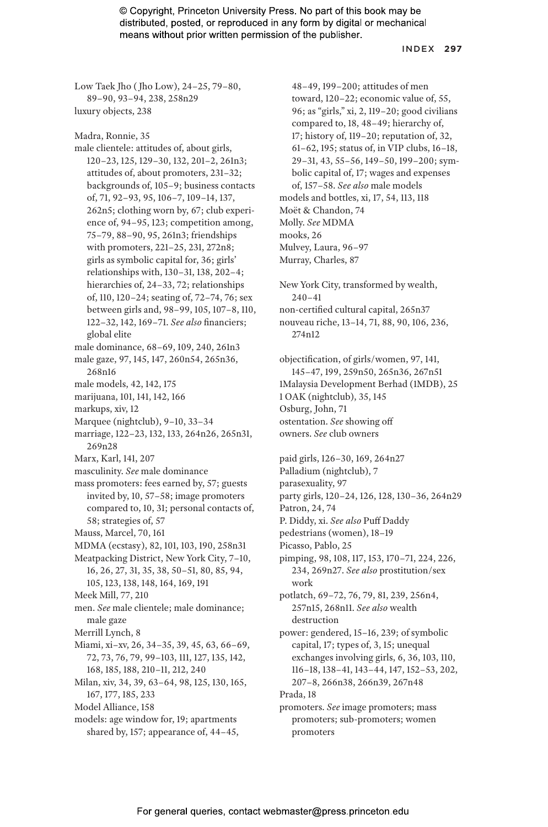#### INDEX **297**

Low Taek Jho ( Jho Low), 24–25, 79–80, 89–90, 93–94, 238, 258n29 luxury objects, 238

Madra, Ronnie, 35

male clientele: attitudes of, about girls, 120–23, 125, 129–30, 132, 201–2, 261n3; attitudes of, about promoters, 231–32; backgrounds of, 105–9; business contacts of, 71, 92–93, 95, 106–7, 109–14, 137, 262n5; clothing worn by, 67; club experience of, 94–95, 123; competition among, 75–79, 88–90, 95, 261n3; friendships with promoters, 221–25, 231, 272n8; girls as symbolic capital for, 36; girls' relationships with, 130–31, 138, 202–4; hierarchies of, 24–33, 72; relationships of, 110, 120–24; seating of, 72–74, 76; sex between girls and, 98–99, 105, 107–8, 110, 122–32, 142, 169–71. *See also* financiers; global elite male dominance, 68–69, 109, 240, 261n3 male gaze, 97, 145, 147, 260n54, 265n36, 268n16 male models, 42, 142, 175 marijuana, 101, 141, 142, 166 markups, xiv, 12 Marquee (nightclub), 9–10, 33–34 marriage, 122–23, 132, 133, 264n26, 265n31, 269n28 Marx, Karl, 141, 207 masculinity. *See* male dominance mass promoters: fees earned by, 57; guests invited by, 10, 57–58; image promoters compared to, 10, 31; personal contacts of, 58; strategies of, 57 Mauss, Marcel, 70, 161 MDMA (ecstasy), 82, 101, 103, 190, 258n31 Meatpacking District, New York City, 7–10, 16, 26, 27, 31, 35, 38, 50–51, 80, 85, 94, 105, 123, 138, 148, 164, 169, 191 Meek Mill, 77, 210 men. *See* male clientele; male dominance; male gaze Merrill Lynch, 8 Miami, xi–xv, 26, 34–35, 39, 45, 63, 66–69, 72, 73, 76, 79, 99–103, 111, 127, 135, 142, 168, 185, 188, 210–11, 212, 240 Milan, xiv, 34, 39, 63–64, 98, 125, 130, 165, 167, 177, 185, 233 Model Alliance, 158

models: age window for, 19; apartments shared by, 157; appearance of, 44–45,

48–49, 199–200; attitudes of men toward, 120–22; economic value of, 55, 96; as "girls," xi, 2, 119–20; good civilians compared to, 18, 48–49; hierarchy of, 17; history of, 119–20; reputation of, 32, 61–62, 195; status of, in VIP clubs, 16–18, 29–31, 43, 55–56, 149–50, 199–200; symbolic capital of, 17; wages and expenses of, 157–58. *See also* male models models and bottles, xi, 17, 54, 113, 118 Moët & Chandon, 74 Molly. *See* MDMA mooks, 26 Mulvey, Laura, 96–97 Murray, Charles, 87

New York City, transformed by wealth, 240–41 non-certified cultural capital, 265n37 nouveau riche, 13–14, 71, 88, 90, 106, 236, 274n12

objectification, of girls/women, 97, 141, 145–47, 199, 259n50, 265n36, 267n51 1Malaysia Development Berhad (1MDB), 25 1 OAK (nightclub), 35, 145 Osburg, John, 71 ostentation. *See* showing off owners. *See* club owners

paid girls, 126–30, 169, 264n27 Palladium (nightclub), 7 parasexuality, 97 party girls, 120–24, 126, 128, 130–36, 264n29 Patron, 24, 74 P. Diddy, xi. *See also* Puff Daddy pedestrians (women), 18–19 Picasso, Pablo, 25 pimping, 98, 108, 117, 153, 170–71, 224, 226, 234, 269n27. *See also* prostitution/sex work potlatch, 69–72, 76, 79, 81, 239, 256n4, 257n15, 268n11. *See also* wealth destruction power: gendered, 15–16, 239; of symbolic capital, 17; types of, 3, 15; unequal exchanges involving girls, 6, 36, 103, 110, 116–18, 138–41, 143–44, 147, 152–53, 202, 207–8, 266n38, 266n39, 267n48 Prada, 18 promoters. *See* image promoters; mass promoters; sub-promoters; women

promoters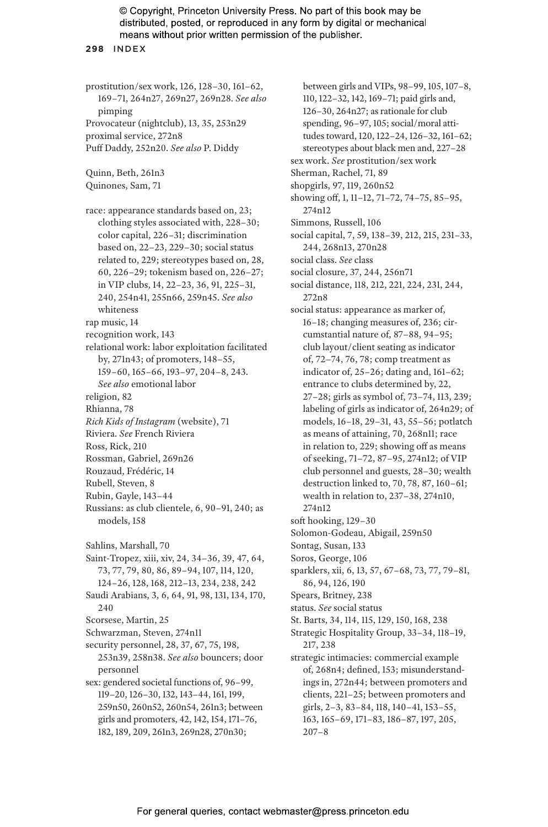**298** INDEX

prostitution/sex work, 126, 128–30, 161–62, 169–71, 264n27, 269n27, 269n28. *See also* pimping Provocateur (nightclub), 13, 35, 253n29 proximal service, 272n8 Puff Daddy, 252n20. *See also* P. Diddy Quinn, Beth, 261n3 Quinones, Sam, 71 race: appearance standards based on, 23; clothing styles associated with, 228–30; color capital, 226–31; discrimination based on, 22–23, 229–30; social status related to, 229; stereotypes based on, 28, 60, 226–29; tokenism based on, 226–27; in VIP clubs, 14, 22–23, 36, 91, 225–31, 240, 254n41, 255n66, 259n45. *See also* whiteness rap music, 14 recognition work, 143 relational work: labor exploitation facilitated by, 271n43; of promoters, 148–55, 159–60, 165–66, 193–97, 204–8, 243. *See also* emotional labor religion, 82 Rhianna, 78 *Rich Kids of Instagram* (website), 71 Riviera. *See* French Riviera Ross, Rick, 210 Rossman, Gabriel, 269n26 Rouzaud, Frédéric, 14 Rubell, Steven, 8 Rubin, Gayle, 143–44 Russians: as club clientele, 6, 90–91, 240; as models, 158 Sahlins, Marshall, 70 Saint-Tropez, xiii, xiv, 24, 34–36, 39, 47, 64, 73, 77, 79, 80, 86, 89–94, 107, 114, 120, 124–26, 128, 168, 212–13, 234, 238, 242 Saudi Arabians, 3, 6, 64, 91, 98, 131, 134, 170, 240 Scorsese, Martin, 25 Schwarzman, Steven, 274n11 security personnel, 28, 37, 67, 75, 198, 253n39, 258n38. *See also* bouncers; door personnel sex: gendered societal functions of, 96–99, 119–20, 126–30, 132, 143–44, 161, 199, 259n50, 260n52, 260n54, 261n3; between girls and promoters, 42, 142, 154, 171–76, 182, 189, 209, 261n3, 269n28, 270n30;

between girls and VIPs, 98–99, 105, 107–8, 110, 122–32, 142, 169–71; paid girls and, 126–30, 264n27; as rationale for club spending, 96–97, 105; social/moral attitudes toward, 120, 122–24, 126–32, 161–62; stereotypes about black men and, 227–28 sex work. *See* prostitution/sex work Sherman, Rachel, 71, 89 shopgirls, 97, 119, 260n52 showing off, 1, 11–12, 71–72, 74–75, 85–95, 274n12 Simmons, Russell, 106 social capital, 7, 59, 138–39, 212, 215, 231–33, 244, 268n13, 270n28 social class. *See* class social closure, 37, 244, 256n71 social distance, 118, 212, 221, 224, 231, 244, 272n8 social status: appearance as marker of, 16–18; changing measures of, 236; circumstantial nature of, 87–88, 94–95; club layout/client seating as indicator of, 72–74, 76, 78; comp treatment as indicator of, 25–26; dating and, 161–62; entrance to clubs determined by, 22, 27–28; girls as symbol of, 73–74, 113, 239; labeling of girls as indicator of, 264n29; of models, 16–18, 29–31, 43, 55–56; potlatch as means of attaining, 70, 268n11; race in relation to, 229; showing off as means of seeking, 71–72, 87–95, 274n12; of VIP club personnel and guests, 28–30; wealth destruction linked to, 70, 78, 87, 160–61; wealth in relation to, 237–38, 274n10, 274n12 soft hooking, 129–30 Solomon-Godeau, Abigail, 259n50 Sontag, Susan, 133 Soros, George, 106 sparklers, xii, 6, 13, 57, 67–68, 73, 77, 79–81, 86, 94, 126, 190 Spears, Britney, 238 status. *See* social status St. Barts, 34, 114, 115, 129, 150, 168, 238 Strategic Hospitality Group, 33–34, 118–19, 217, 238 strategic intimacies: commercial example of, 268n4; defined, 153; misunderstandings in, 272n44; between promoters and clients, 221–25; between promoters and girls, 2–3, 83–84, 118, 140–41, 153–55, 163, 165–69, 171–83, 186–87, 197, 205, 207–8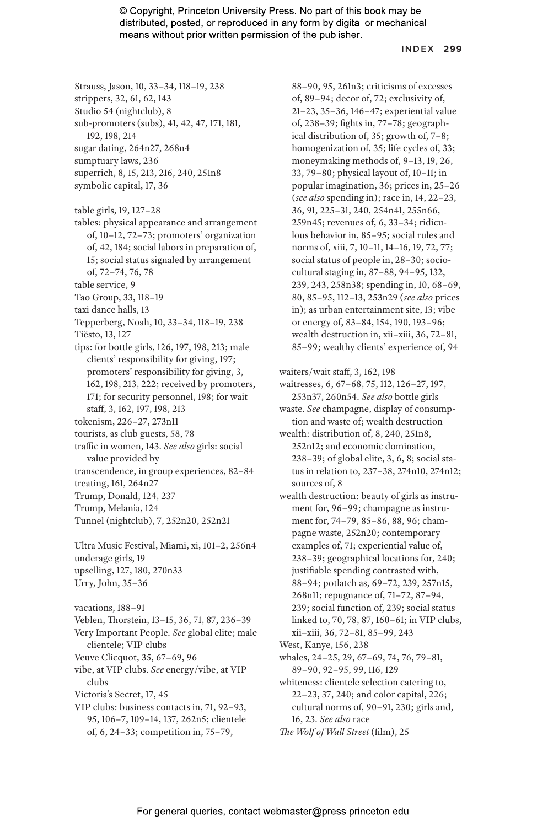#### INDEX **299**

- Strauss, Jason, 10, 33–34, 118–19, 238 strippers, 32, 61, 62, 143 Studio 54 (nightclub), 8 sub-promoters (subs), 41, 42, 47, 171, 181,
- 192, 198, 214
- sugar dating, 264n27, 268n4
- sumptuary laws, 236
- superrich, 8, 15, 213, 216, 240, 251n8
- symbolic capital, 17, 36
- table girls, 19, 127–28
- tables: physical appearance and arrangement of, 10–12, 72–73; promoters' organization of, 42, 184; social labors in preparation of, 15; social status signaled by arrangement of, 72–74, 76, 78
- table service, 9
- Tao Group, 33, 118–19
- taxi dance halls, 13
- Tepperberg, Noah, 10, 33–34, 118–19, 238
- Tiësto, 13, 127
- tips: for bottle girls, 126, 197, 198, 213; male clients' responsibility for giving, 197; promoters' responsibility for giving, 3, 162, 198, 213, 222; received by promoters, 171; for security personnel, 198; for wait staff, 3, 162, 197, 198, 213
- tokenism, 226–27, 273n11
- tourists, as club guests, 58, 78
- traffic in women, 143. *See also* girls: social value provided by
- transcendence, in group experiences, 82–84
- treating, 161, 264n27
- Trump, Donald, 124, 237
- Trump, Melania, 124
- Tunnel (nightclub), 7, 252n20, 252n21

Ultra Music Festival, Miami, xi, 101–2, 256n4 underage girls, 19 upselling, 127, 180, 270n33 Urry, John, 35–36

vacations, 188–91

- Veblen, Thorstein, 13–15, 36, 71, 87, 236–39
- Very Important People. *See* global elite; male clientele; VIP clubs
- Veuve Clicquot, 35, 67–69, 96
- vibe, at VIP clubs. *See* energy/vibe, at VIP clubs
- Victoria's Secret, 17, 45
- VIP clubs: business contacts in, 71, 92–93, 95, 106–7, 109–14, 137, 262n5; clientele of, 6, 24–33; competition in, 75–79,

88–90, 95, 261n3; criticisms of excesses of, 89–94; decor of, 72; exclusivity of, 21–23, 35–36, 146–47; experiential value of, 238–39; fights in, 77–78; geographical distribution of, 35; growth of, 7–8; homogenization of, 35; life cycles of, 33; moneymaking methods of, 9–13, 19, 26, 33, 79–80; physical layout of, 10–11; in popular imagination, 36; prices in, 25–26 (*see also* spending in); race in, 14, 22–23, 36, 91, 225–31, 240, 254n41, 255n66, 259n45; revenues of, 6, 33–34; ridiculous behavior in, 85–95; social rules and norms of, xiii, 7, 10–11, 14–16, 19, 72, 77; social status of people in, 28–30; sociocultural staging in, 87–88, 94–95, 132, 239, 243, 258n38; spending in, 10, 68–69, 80, 85–95, 112–13, 253n29 (*see also* prices in); as urban entertainment site, 13; vibe or energy of, 83–84, 154, 190, 193–96; wealth destruction in, xii–xiii, 36, 72–81, 85–99; wealthy clients' experience of, 94

waiters/wait staff, 3, 162, 198

- waitresses, 6, 67–68, 75, 112, 126–27, 197, 253n37, 260n54. *See also* bottle girls
- waste. *See* champagne, display of consumption and waste of; wealth destruction
- wealth: distribution of, 8, 240, 251n8, 252n12; and economic domination, 238–39; of global elite, 3, 6, 8; social status in relation to, 237–38, 274n10, 274n12; sources of, 8
- wealth destruction: beauty of girls as instrument for, 96–99; champagne as instrument for, 74–79, 85–86, 88, 96; champagne waste, 252n20; contemporary examples of, 71; experiential value of, 238–39; geographical locations for, 240; justifiable spending contrasted with, 88–94; potlatch as, 69–72, 239, 257n15, 268n11; repugnance of, 71–72, 87–94, 239; social function of, 239; social status linked to, 70, 78, 87, 160–61; in VIP clubs, xii–xiii, 36, 72–81, 85–99, 243
- West, Kanye, 156, 238
- whales, 24–25, 29, 67–69, 74, 76, 79–81, 89–90, 92–95, 99, 116, 129
- whiteness: clientele selection catering to, 22–23, 37, 240; and color capital, 226; cultural norms of, 90–91, 230; girls and, 16, 23. *See also* race

*The Wolf of Wall Street* (film), 25